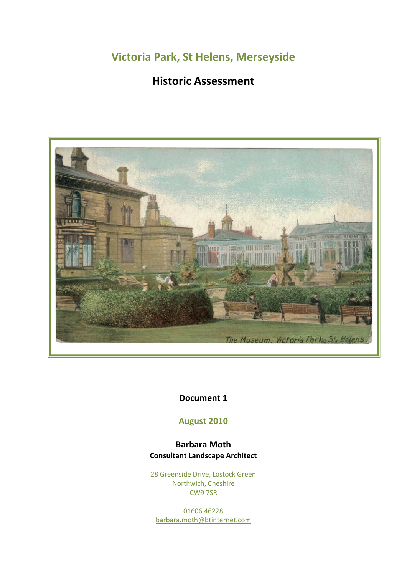**Victoria Park, St Helens, Merseyside**

# **Historic Assessment**



## **Document 1**

## **August 2010**

## **Barbara Moth Consultant Landscape Architect**

28 Greenside Drive, Lostock Green Northwich, Cheshire CW9 7SR

01606 46228 [barbara.moth@btinternet.com](mailto:kbmoth@btinternet.com)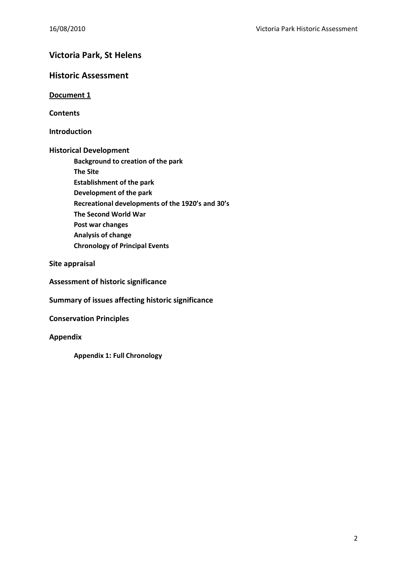## **Victoria Park, St Helens**

### **Historic Assessment**

**Document 1**

**Contents**

**Introduction**

**Historical Development**

**Background to creation of the park The Site Establishment of the park Development of the park Recreational developments of the 1920's and 30's The Second World War Post war changes Analysis of change Chronology of Principal Events**

**Site appraisal**

**Assessment of historic significance**

**Summary of issues affecting historic significance** 

**Conservation Principles**

**Appendix** 

**Appendix 1: Full Chronology**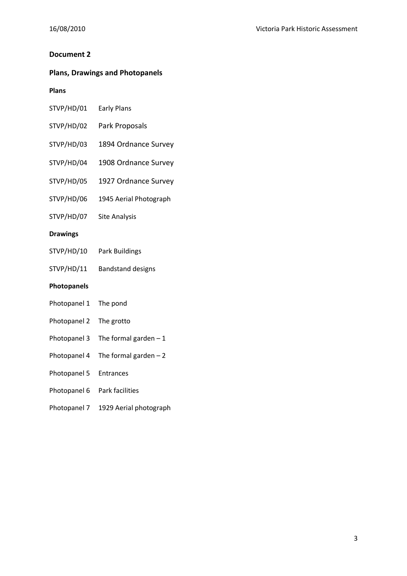### **Document 2**

## **Plans, Drawings and Photopanels**

## **Plans**

| STVP/HD/01         | <b>Early Plans</b>       |
|--------------------|--------------------------|
| STVP/HD/02         | Park Proposals           |
| STVP/HD/03         | 1894 Ordnance Survey     |
| STVP/HD/04         | 1908 Ordnance Survey     |
| STVP/HD/05         | 1927 Ordnance Survey     |
| STVP/HD/06         | 1945 Aerial Photograph   |
| STVP/HD/07         | <b>Site Analysis</b>     |
| <b>Drawings</b>    |                          |
| STVP/HD/10         | <b>Park Buildings</b>    |
| STVP/HD/11         | <b>Bandstand designs</b> |
| <b>Photopanels</b> |                          |
| Photopanel 1       | The pond                 |
| Photopanel 2       | The grotto               |
| Photopanel 3       | The formal garden $-1$   |
| Photopanel 4       | The formal garden $-2$   |
| Photopanel 5       | Entrances                |
| Photopanel 6       | Park facilities          |
| Photopanel 7       | 1929 Aerial photograph   |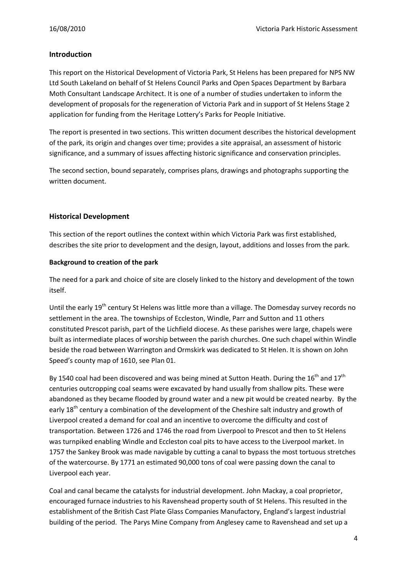#### **Introduction**

This report on the Historical Development of Victoria Park, St Helens has been prepared for NPS NW Ltd South Lakeland on behalf of St Helens Council Parks and Open Spaces Department by Barbara Moth Consultant Landscape Architect. It is one of a number of studies undertaken to inform the development of proposals for the regeneration of Victoria Park and in support of St Helens Stage 2 application for funding from the Heritage Lottery's Parks for People Initiative.

The report is presented in two sections. This written document describes the historical development of the park, its origin and changes over time; provides a site appraisal, an assessment of historic significance, and a summary of issues affecting historic significance and conservation principles.

The second section, bound separately, comprises plans, drawings and photographs supporting the written document.

#### **Historical Development**

This section of the report outlines the context within which Victoria Park was first established, describes the site prior to development and the design, layout, additions and losses from the park.

#### **Background to creation of the park**

The need for a park and choice of site are closely linked to the history and development of the town itself.

Until the early 19<sup>th</sup> century St Helens was little more than a village. The Domesday survey records no settlement in the area. The townships of Eccleston, Windle, Parr and Sutton and 11 others constituted Prescot parish, part of the Lichfield diocese. As these parishes were large, chapels were built as intermediate places of worship between the parish churches. One such chapel within Windle beside the road between Warrington and Ormskirk was dedicated to St Helen. It is shown on John Speed's county map of 1610, see Plan 01.

By 1540 coal had been discovered and was being mined at Sutton Heath. During the 16<sup>th</sup> and 17<sup>th</sup> centuries outcropping coal seams were excavated by hand usually from shallow pits. These were abandoned as they became flooded by ground water and a new pit would be created nearby. By the early 18<sup>th</sup> century a combination of the development of the Cheshire salt industry and growth of Liverpool created a demand for coal and an incentive to overcome the difficulty and cost of transportation. Between 1726 and 1746 the road from Liverpool to Prescot and then to St Helens was turnpiked enabling Windle and Eccleston coal pits to have access to the Liverpool market. In 1757 the Sankey Brook was made navigable by cutting a canal to bypass the most tortuous stretches of the watercourse. By 1771 an estimated 90,000 tons of coal were passing down the canal to Liverpool each year.

Coal and canal became the catalysts for industrial development. John Mackay, a coal proprietor, encouraged furnace industries to his Ravenshead property south of St Helens. This resulted in the establishment of the British Cast Plate Glass Companies Manufactory, England's largest industrial building of the period. The Parys Mine Company from Anglesey came to Ravenshead and set up a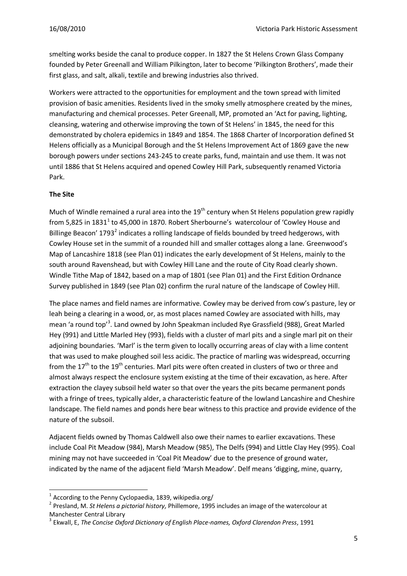smelting works beside the canal to produce copper. In 1827 the St Helens Crown Glass Company founded by Peter Greenall and William Pilkington, later to become 'Pilkington Brothers', made their first glass, and salt, alkali, textile and brewing industries also thrived.

Workers were attracted to the opportunities for employment and the town spread with limited provision of basic amenities. Residents lived in the smoky smelly atmosphere created by the mines, manufacturing and chemical processes. Peter Greenall, MP, promoted an 'Act for paving, lighting, cleansing, watering and otherwise improving the town of St Helens' in 1845, the need for this demonstrated by cholera epidemics in 1849 and 1854. The 1868 Charter of Incorporation defined St Helens officially as a Municipal Borough and the St Helens Improvement Act of 1869 gave the new borough powers under sections 243-245 to create parks, fund, maintain and use them. It was not until 1886 that St Helens acquired and opened Cowley Hill Park, subsequently renamed Victoria Park.

#### **The Site**

-

Much of Windle remained a rural area into the  $19<sup>th</sup>$  century when St Helens population grew rapidly from 5,825 in 1831<sup>1</sup> to 45,000 in 1870. Robert Sherbourne's watercolour of 'Cowley House and Billinge Beacon' 1793<sup>2</sup> indicates a rolling landscape of fields bounded by treed hedgerows, with Cowley House set in the summit of a rounded hill and smaller cottages along a lane. Greenwood's Map of Lancashire 1818 (see Plan 01) indicates the early development of St Helens, mainly to the south around Ravenshead, but with Cowley Hill Lane and the route of City Road clearly shown. Windle Tithe Map of 1842, based on a map of 1801 (see Plan 01) and the First Edition Ordnance Survey published in 1849 (see Plan 02) confirm the rural nature of the landscape of Cowley Hill.

The place names and field names are informative. Cowley may be derived from cow's pasture, ley or leah being a clearing in a wood, or, as most places named Cowley are associated with hills, may mean 'a round top'<sup>3</sup>. Land owned by John Speakman included Rye Grassfield (988), Great Marled Hey (991) and Little Marled Hey (993), fields with a cluster of marl pits and a single marl pit on their adjoining boundaries. 'Marl' is the term given to locally occurring areas of clay with a lime content that was used to make ploughed soil less acidic. The practice of marling was widespread, occurring from the 17<sup>th</sup> to the 19<sup>th</sup> centuries. Marl pits were often created in clusters of two or three and almost always respect the enclosure system existing at the time of their excavation, as here. After extraction the clayey subsoil held water so that over the years the pits became permanent ponds with a fringe of trees, typically alder, a characteristic feature of the lowland Lancashire and Cheshire landscape. The field names and ponds here bear witness to this practice and provide evidence of the nature of the subsoil.

Adjacent fields owned by Thomas Caldwell also owe their names to earlier excavations. These include Coal Pit Meadow (984), Marsh Meadow (985), The Delfs (994) and Little Clay Hey (995). Coal mining may not have succeeded in 'Coal Pit Meadow' due to the presence of ground water, indicated by the name of the adjacent field 'Marsh Meadow'. Delf means 'digging, mine, quarry,

 $1$  According to the Penny Cyclopaedia, 1839, wikipedia.org/

<sup>2</sup> Presland, M. *St Helens a pictorial history,* Phillemore, 1995 includes an image of the watercolour at Manchester Central Library

<sup>3</sup> Ekwall, E, *The Concise Oxford Dictionary of English Place-names, Oxford Clarendon Press*, 1991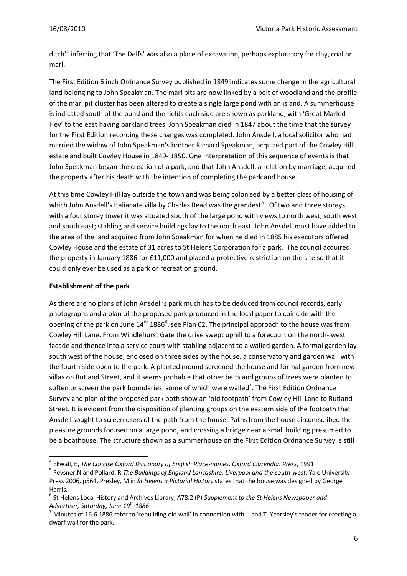ditch'<sup>4</sup> inferring that 'The Delfs' was also a place of excavation, perhaps exploratory for clay, coal or marl.

The First Edition 6 inch Ordnance Survey published in 1849 indicates some change in the agricultural land belonging to John Speakman. The marl pits are now linked by a belt of woodland and the profile of the marl pit cluster has been altered to create a single large pond with an island. A summerhouse is indicated south of the pond and the fields each side are shown as parkland, with 'Great Marled Hey' to the east having parkland trees. John Speakman died in 1847 about the time that the survey for the First Edition recording these changes was completed. John Ansdell, a local solicitor who had married the widow of John Speakman's brother Richard Speakman, acquired part of the Cowley Hill estate and built Cowley House in 1849- 1850. One interpretation of this sequence of events is that John Speakman began the creation of a park, and that John Ansdell, a relation by marriage, acquired the property after his death with the intention of completing the park and house.

At this time Cowley Hill lay outside the town and was being colonised by a better class of housing of which John Ansdell's Italianate villa by Charles Read was the grandest<sup>5</sup>. Of two and three storeys with a four storey tower it was situated south of the large pond with views to north west, south west and south east; stabling and service buildings lay to the north east. John Ansdell must have added to the area of the land acquired from John Speakman for when he died in 1885 his executors offered Cowley House and the estate of 31 acres to St Helens Corporation for a park. The council acquired the property in January 1886 for £11,000 and placed a protective restriction on the site so that it could only ever be used as a park or recreation ground.

#### **Establishment of the park**

**.** 

As there are no plans of John Ansdell's park much has to be deduced from council records, early photographs and a plan of the proposed park produced in the local paper to coincide with the opening of the park on June  $14<sup>th</sup> 1886<sup>6</sup>$ , see Plan 02. The principal approach to the house was from Cowley Hill Lane. From Windlehurst Gate the drive swept uphill to a forecourt on the north- west facade and thence into a service court with stabling adjacent to a walled garden. A formal garden lay south west of the house, enclosed on three sides by the house, a conservatory and garden wall with the fourth side open to the park. A planted mound screened the house and formal garden from new villas on Rutland Street, and it seems probable that other belts and groups of trees were planted to soften or screen the park boundaries, some of which were walled<sup>7</sup>. The First Edition Ordnance Survey and plan of the proposed park both show an 'old footpath' from Cowley Hill Lane to Rutland Street. It is evident from the disposition of planting groups on the eastern side of the footpath that Ansdell sought to screen users of the path from the house. Paths from the house circumscribed the pleasure grounds focused on a large pond, and crossing a bridge near a small building presumed to be a boathouse. The structure shown as a summerhouse on the First Edition Ordnance Survey is still

<sup>4</sup> Ekwall, E, *The Concise Oxford Dictionary of English Place-names, Oxford Clarendon Press*, 1991

<sup>5</sup> Pevsner,N and Pollard, R *The Buildings of England Lancashire: Liverpool and the south-west*, Yale University Press 2006, p564. Presley, M in *St Helens a Pictorial History* states that the house was designed by George Harris.

<sup>6</sup> St Helens Local History and Archives Library, A78.2 (P) *Supplement to the St Helens Newspaper and Advertiser, Saturday, June 19th 1886*

<sup>7</sup> Minutes of 16.6.1886 refer to 'rebuilding old wall' in connection with J. and T. Yearsley's tender for erecting a dwarf wall for the park.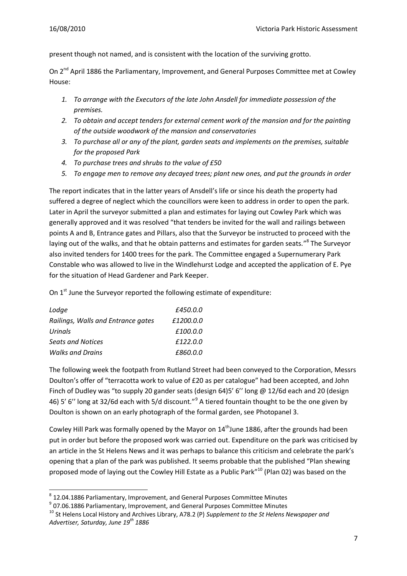present though not named, and is consistent with the location of the surviving grotto.

On 2<sup>nd</sup> April 1886 the Parliamentary, Improvement, and General Purposes Committee met at Cowley House:

- *1. To arrange with the Executors of the late John Ansdell for immediate possession of the premises.*
- *2. To obtain and accept tenders for external cement work of the mansion and for the painting of the outside woodwork of the mansion and conservatories*
- *3. To purchase all or any of the plant, garden seats and implements on the premises, suitable for the proposed Park*
- *4. To purchase trees and shrubs to the value of £50*
- *5. To engage men to remove any decayed trees; plant new ones, and put the grounds in order*

The report indicates that in the latter years of Ansdell's life or since his death the property had suffered a degree of neglect which the councillors were keen to address in order to open the park. Later in April the surveyor submitted a plan and estimates for laying out Cowley Park which was generally approved and it was resolved "that tenders be invited for the wall and railings between points A and B, Entrance gates and Pillars, also that the Surveyor be instructed to proceed with the laying out of the walks, and that he obtain patterns and estimates for garden seats."<sup>8</sup> The Surveyor also invited tenders for 1400 trees for the park. The Committee engaged a Supernumerary Park Constable who was allowed to live in the Windlehurst Lodge and accepted the application of E. Pye for the situation of Head Gardener and Park Keeper.

On  $1<sup>st</sup>$  June the Surveyor reported the following estimate of expenditure:

| Lodge                              | £450.0.0  |
|------------------------------------|-----------|
| Railings, Walls and Entrance gates | £1200.0.0 |
| Urinals                            | £100.0.0  |
| <b>Seats and Notices</b>           | £122.0.0  |
| <b>Walks and Drains</b>            | £860.0.0  |

The following week the footpath from Rutland Street had been conveyed to the Corporation, Messrs Doulton's offer of "terracotta work to value of £20 as per catalogue" had been accepted, and John Finch of Dudley was "to supply 20 gander seats (design 64)5' 6'' long @ 12/6d each and 20 (design 46) 5' 6" long at 32/6d each with 5/d discount."<sup>9</sup> A tiered fountain thought to be the one given by Doulton is shown on an early photograph of the formal garden, see Photopanel 3.

Cowley Hill Park was formally opened by the Mayor on  $14<sup>th</sup>$  June 1886, after the grounds had been put in order but before the proposed work was carried out. Expenditure on the park was criticised by an article in the St Helens News and it was perhaps to balance this criticism and celebrate the park's opening that a plan of the park was published. It seems probable that the published "Plan shewing proposed mode of laying out the Cowley Hill Estate as a Public Park"<sup>10</sup> (Plan 02) was based on the

<sup>-</sup> $^8$  12.04.1886 Parliamentary, Improvement, and General Purposes Committee Minutes

 $^{9}$  07.06.1886 Parliamentary, Improvement, and General Purposes Committee Minutes

<sup>10</sup> St Helens Local History and Archives Library, A78.2 (P) *Supplement to the St Helens Newspaper and Advertiser, Saturday, June 19th 1886*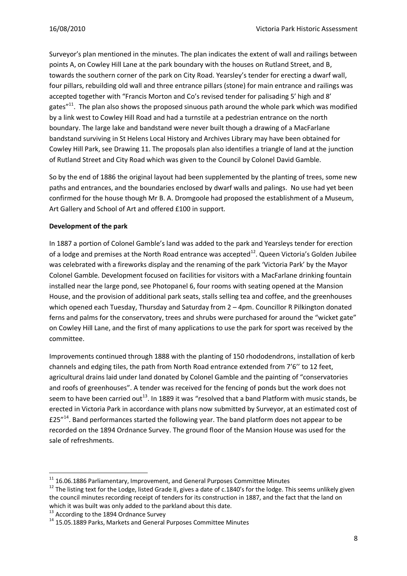Surveyor's plan mentioned in the minutes. The plan indicates the extent of wall and railings between points A, on Cowley Hill Lane at the park boundary with the houses on Rutland Street, and B, towards the southern corner of the park on City Road. Yearsley's tender for erecting a dwarf wall, four pillars, rebuilding old wall and three entrance pillars (stone) for main entrance and railings was accepted together with "Francis Morton and Co's revised tender for palisading 5' high and 8' gates $"^{11}$ . The plan also shows the proposed sinuous path around the whole park which was modified by a link west to Cowley Hill Road and had a turnstile at a pedestrian entrance on the north boundary. The large lake and bandstand were never built though a drawing of a MacFarlane bandstand surviving in St Helens Local History and Archives Library may have been obtained for Cowley Hill Park, see Drawing 11. The proposals plan also identifies a triangle of land at the junction of Rutland Street and City Road which was given to the Council by Colonel David Gamble.

So by the end of 1886 the original layout had been supplemented by the planting of trees, some new paths and entrances, and the boundaries enclosed by dwarf walls and palings. No use had yet been confirmed for the house though Mr B. A. Dromgoole had proposed the establishment of a Museum, Art Gallery and School of Art and offered £100 in support.

#### **Development of the park**

In 1887 a portion of Colonel Gamble's land was added to the park and Yearsleys tender for erection of a lodge and premises at the North Road entrance was accepted<sup>12</sup>. Queen Victoria's Golden Jubilee was celebrated with a fireworks display and the renaming of the park 'Victoria Park' by the Mayor Colonel Gamble. Development focused on facilities for visitors with a MacFarlane drinking fountain installed near the large pond, see Photopanel 6, four rooms with seating opened at the Mansion House, and the provision of additional park seats, stalls selling tea and coffee, and the greenhouses which opened each Tuesday, Thursday and Saturday from  $2 - 4$ pm. Councillor R Pilkington donated ferns and palms for the conservatory, trees and shrubs were purchased for around the "wicket gate" on Cowley Hill Lane, and the first of many applications to use the park for sport was received by the committee.

Improvements continued through 1888 with the planting of 150 rhododendrons, installation of kerb channels and edging tiles, the path from North Road entrance extended from 7'6'' to 12 feet, agricultural drains laid under land donated by Colonel Gamble and the painting of "conservatories and roofs of greenhouses". A tender was received for the fencing of ponds but the work does not seem to have been carried out<sup>13</sup>. In 1889 it was "resolved that a band Platform with music stands, be erected in Victoria Park in accordance with plans now submitted by Surveyor, at an estimated cost of £25"<sup>14</sup>. Band performances started the following year. The band platform does not appear to be recorded on the 1894 Ordnance Survey. The ground floor of the Mansion House was used for the sale of refreshments.

<sup>1</sup>  $^{11}$  16.06.1886 Parliamentary, Improvement, and General Purposes Committee Minutes

 $12$  The listing text for the Lodge, listed Grade II, gives a date of c.1840's for the lodge. This seems unlikely given the council minutes recording receipt of tenders for its construction in 1887, and the fact that the land on which it was built was only added to the parkland about this date.

<sup>&</sup>lt;sup>13</sup> According to the 1894 Ordnance Survey

<sup>&</sup>lt;sup>14</sup> 15.05.1889 Parks, Markets and General Purposes Committee Minutes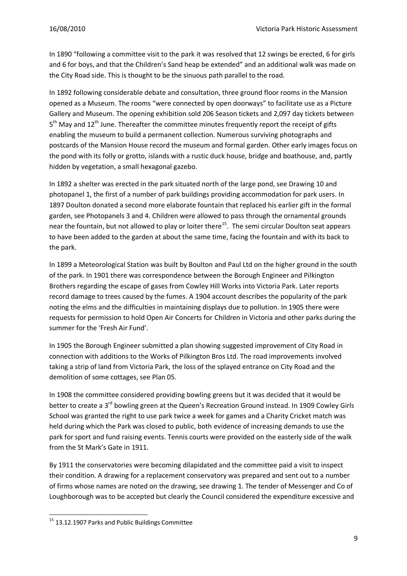In 1890 "following a committee visit to the park it was resolved that 12 swings be erected, 6 for girls and 6 for boys, and that the Children's Sand heap be extended" and an additional walk was made on the City Road side. This is thought to be the sinuous path parallel to the road.

In 1892 following considerable debate and consultation, three ground floor rooms in the Mansion opened as a Museum. The rooms "were connected by open doorways" to facilitate use as a Picture Gallery and Museum. The opening exhibition sold 206 Season tickets and 2,097 day tickets between 5<sup>th</sup> May and 12<sup>th</sup> June. Thereafter the committee minutes frequently report the receipt of gifts enabling the museum to build a permanent collection. Numerous surviving photographs and postcards of the Mansion House record the museum and formal garden. Other early images focus on the pond with its folly or grotto, islands with a rustic duck house, bridge and boathouse, and, partly hidden by vegetation, a small hexagonal gazebo.

In 1892 a shelter was erected in the park situated north of the large pond, see Drawing 10 and photopanel 1, the first of a number of park buildings providing accommodation for park users. In 1897 Doulton donated a second more elaborate fountain that replaced his earlier gift in the formal garden, see Photopanels 3 and 4. Children were allowed to pass through the ornamental grounds near the fountain, but not allowed to play or loiter there<sup>15</sup>. The semi circular Doulton seat appears to have been added to the garden at about the same time, facing the fountain and with its back to the park.

In 1899 a Meteorological Station was built by Boulton and Paul Ltd on the higher ground in the south of the park. In 1901 there was correspondence between the Borough Engineer and Pilkington Brothers regarding the escape of gases from Cowley Hill Works into Victoria Park. Later reports record damage to trees caused by the fumes. A 1904 account describes the popularity of the park noting the elms and the difficulties in maintaining displays due to pollution. In 1905 there were requests for permission to hold Open Air Concerts for Children in Victoria and other parks during the summer for the 'Fresh Air Fund'.

In 1905 the Borough Engineer submitted a plan showing suggested improvement of City Road in connection with additions to the Works of Pilkington Bros Ltd. The road improvements involved taking a strip of land from Victoria Park, the loss of the splayed entrance on City Road and the demolition of some cottages, see Plan 05.

In 1908 the committee considered providing bowling greens but it was decided that it would be better to create a 3<sup>rd</sup> bowling green at the Queen's Recreation Ground instead. In 1909 Cowley Girls School was granted the right to use park twice a week for games and a Charity Cricket match was held during which the Park was closed to public, both evidence of increasing demands to use the park for sport and fund raising events. Tennis courts were provided on the easterly side of the walk from the St Mark's Gate in 1911.

By 1911 the conservatories were becoming dilapidated and the committee paid a visit to inspect their condition. A drawing for a replacement conservatory was prepared and sent out to a number of firms whose names are noted on the drawing, see drawing 1. The tender of Messenger and Co of Loughborough was to be accepted but clearly the Council considered the expenditure excessive and

**.** 

<sup>&</sup>lt;sup>15</sup> 13.12.1907 Parks and Public Buildings Committee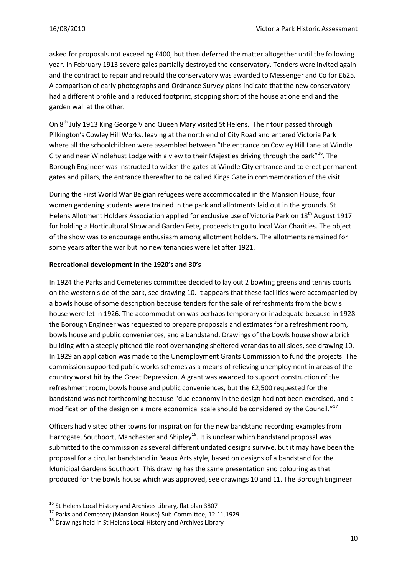asked for proposals not exceeding £400, but then deferred the matter altogether until the following year. In February 1913 severe gales partially destroyed the conservatory. Tenders were invited again and the contract to repair and rebuild the conservatory was awarded to Messenger and Co for £625. A comparison of early photographs and Ordnance Survey plans indicate that the new conservatory had a different profile and a reduced footprint, stopping short of the house at one end and the garden wall at the other.

On 8<sup>th</sup> July 1913 King George V and Queen Mary visited St Helens. Their tour passed through Pilkington's Cowley Hill Works, leaving at the north end of City Road and entered Victoria Park where all the schoolchildren were assembled between "the entrance on Cowley Hill Lane at Windle City and near Windlehust Lodge with a view to their Majesties driving through the park"<sup>16</sup>. The Borough Engineer was instructed to widen the gates at Windle City entrance and to erect permanent gates and pillars, the entrance thereafter to be called Kings Gate in commemoration of the visit.

During the First World War Belgian refugees were accommodated in the Mansion House, four women gardening students were trained in the park and allotments laid out in the grounds. St Helens Allotment Holders Association applied for exclusive use of Victoria Park on 18<sup>th</sup> August 1917 for holding a Horticultural Show and Garden Fete, proceeds to go to local War Charities. The object of the show was to encourage enthusiasm among allotment holders. The allotments remained for some years after the war but no new tenancies were let after 1921.

#### **Recreational development in the 1920's and 30's**

In 1924 the Parks and Cemeteries committee decided to lay out 2 bowling greens and tennis courts on the western side of the park, see drawing 10. It appears that these facilities were accompanied by a bowls house of some description because tenders for the sale of refreshments from the bowls house were let in 1926. The accommodation was perhaps temporary or inadequate because in 1928 the Borough Engineer was requested to prepare proposals and estimates for a refreshment room, bowls house and public conveniences, and a bandstand. Drawings of the bowls house show a brick building with a steeply pitched tile roof overhanging sheltered verandas to all sides, see drawing 10. In 1929 an application was made to the Unemployment Grants Commission to fund the projects. The commission supported public works schemes as a means of relieving unemployment in areas of the country worst hit by the Great Depression. A grant was awarded to support construction of the refreshment room, bowls house and public conveniences, but the £2,500 requested for the bandstand was not forthcoming because "due economy in the design had not been exercised, and a modification of the design on a more economical scale should be considered by the Council."<sup>17</sup>

Officers had visited other towns for inspiration for the new bandstand recording examples from Harrogate, Southport, Manchester and Shipley<sup>18</sup>. It is unclear which bandstand proposal was submitted to the commission as several different undated designs survive, but it may have been the proposal for a circular bandstand in Beaux Arts style, based on designs of a bandstand for the Municipal Gardens Southport. This drawing has the same presentation and colouring as that produced for the bowls house which was approved, see drawings 10 and 11. The Borough Engineer

**.** 

 $^{16}$  St Helens Local History and Archives Library, flat plan 3807

<sup>&</sup>lt;sup>17</sup> Parks and Cemetery (Mansion House) Sub-Committee, 12.11.1929

<sup>&</sup>lt;sup>18</sup> Drawings held in St Helens Local History and Archives Library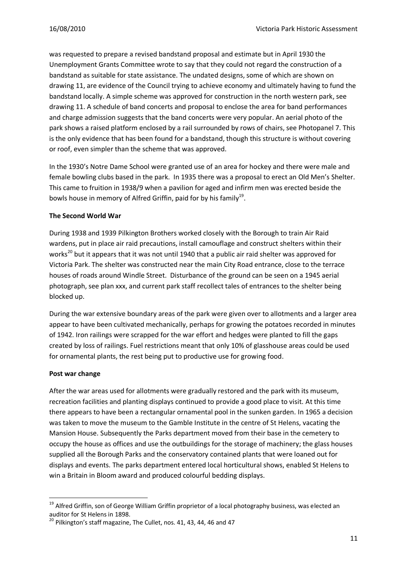was requested to prepare a revised bandstand proposal and estimate but in April 1930 the Unemployment Grants Committee wrote to say that they could not regard the construction of a bandstand as suitable for state assistance. The undated designs, some of which are shown on drawing 11, are evidence of the Council trying to achieve economy and ultimately having to fund the bandstand locally. A simple scheme was approved for construction in the north western park, see drawing 11. A schedule of band concerts and proposal to enclose the area for band performances and charge admission suggests that the band concerts were very popular. An aerial photo of the park shows a raised platform enclosed by a rail surrounded by rows of chairs, see Photopanel 7. This is the only evidence that has been found for a bandstand, though this structure is without covering or roof, even simpler than the scheme that was approved.

In the 1930's Notre Dame School were granted use of an area for hockey and there were male and female bowling clubs based in the park. In 1935 there was a proposal to erect an Old Men's Shelter. This came to fruition in 1938/9 when a pavilion for aged and infirm men was erected beside the bowls house in memory of Alfred Griffin, paid for by his family<sup>19</sup>.

#### **The Second World War**

During 1938 and 1939 Pilkington Brothers worked closely with the Borough to train Air Raid wardens, put in place air raid precautions, install camouflage and construct shelters within their works<sup>20</sup> but it appears that it was not until 1940 that a public air raid shelter was approved for Victoria Park. The shelter was constructed near the main City Road entrance, close to the terrace houses of roads around Windle Street. Disturbance of the ground can be seen on a 1945 aerial photograph, see plan xxx, and current park staff recollect tales of entrances to the shelter being blocked up.

During the war extensive boundary areas of the park were given over to allotments and a larger area appear to have been cultivated mechanically, perhaps for growing the potatoes recorded in minutes of 1942. Iron railings were scrapped for the war effort and hedges were planted to fill the gaps created by loss of railings. Fuel restrictions meant that only 10% of glasshouse areas could be used for ornamental plants, the rest being put to productive use for growing food.

#### **Post war change**

**.** 

After the war areas used for allotments were gradually restored and the park with its museum, recreation facilities and planting displays continued to provide a good place to visit. At this time there appears to have been a rectangular ornamental pool in the sunken garden. In 1965 a decision was taken to move the museum to the Gamble Institute in the centre of St Helens, vacating the Mansion House. Subsequently the Parks department moved from their base in the cemetery to occupy the house as offices and use the outbuildings for the storage of machinery; the glass houses supplied all the Borough Parks and the conservatory contained plants that were loaned out for displays and events. The parks department entered local horticultural shows, enabled St Helens to win a Britain in Bloom award and produced colourful bedding displays.

<sup>&</sup>lt;sup>19</sup> Alfred Griffin, son of George William Griffin proprietor of a local photography business, was elected an auditor for St Helens in 1898.

<sup>&</sup>lt;sup>20</sup> Pilkington's staff magazine, The Cullet, nos. 41, 43, 44, 46 and 47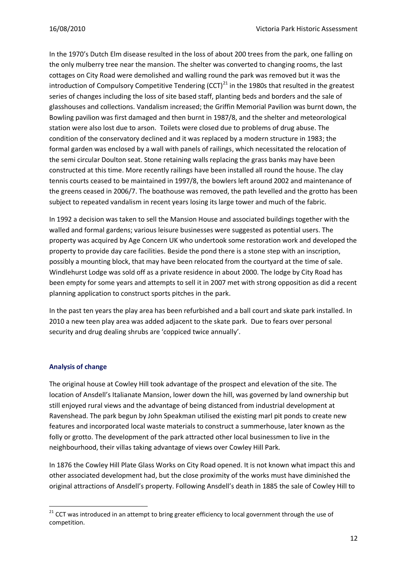In the 1970's Dutch Elm disease resulted in the loss of about 200 trees from the park, one falling on the only mulberry tree near the mansion. The shelter was converted to changing rooms, the last cottages on City Road were demolished and walling round the park was removed but it was the introduction of Compulsory Competitive Tendering  $(CCT)^{21}$  in the 1980s that resulted in the greatest series of changes including the loss of site based staff, planting beds and borders and the sale of glasshouses and collections. Vandalism increased; the Griffin Memorial Pavilion was burnt down, the Bowling pavilion was first damaged and then burnt in 1987/8, and the shelter and meteorological station were also lost due to arson. Toilets were closed due to problems of drug abuse. The condition of the conservatory declined and it was replaced by a modern structure in 1983; the formal garden was enclosed by a wall with panels of railings, which necessitated the relocation of the semi circular Doulton seat. Stone retaining walls replacing the grass banks may have been constructed at this time. More recently railings have been installed all round the house. The clay tennis courts ceased to be maintained in 1997/8, the bowlers left around 2002 and maintenance of the greens ceased in 2006/7. The boathouse was removed, the path levelled and the grotto has been subject to repeated vandalism in recent years losing its large tower and much of the fabric.

In 1992 a decision was taken to sell the Mansion House and associated buildings together with the walled and formal gardens; various leisure businesses were suggested as potential users. The property was acquired by Age Concern UK who undertook some restoration work and developed the property to provide day care facilities. Beside the pond there is a stone step with an inscription, possibly a mounting block, that may have been relocated from the courtyard at the time of sale. Windlehurst Lodge was sold off as a private residence in about 2000. The lodge by City Road has been empty for some years and attempts to sell it in 2007 met with strong opposition as did a recent planning application to construct sports pitches in the park.

In the past ten years the play area has been refurbished and a ball court and skate park installed. In 2010 a new teen play area was added adjacent to the skate park. Due to fears over personal security and drug dealing shrubs are 'coppiced twice annually'.

#### **Analysis of change**

1

The original house at Cowley Hill took advantage of the prospect and elevation of the site. The location of Ansdell's Italianate Mansion, lower down the hill, was governed by land ownership but still enjoyed rural views and the advantage of being distanced from industrial development at Ravenshead. The park begun by John Speakman utilised the existing marl pit ponds to create new features and incorporated local waste materials to construct a summerhouse, later known as the folly or grotto. The development of the park attracted other local businessmen to live in the neighbourhood, their villas taking advantage of views over Cowley Hill Park.

In 1876 the Cowley Hill Plate Glass Works on City Road opened. It is not known what impact this and other associated development had, but the close proximity of the works must have diminished the original attractions of Ansdell's property. Following Ansdell's death in 1885 the sale of Cowley Hill to

 $21$  CCT was introduced in an attempt to bring greater efficiency to local government through the use of competition.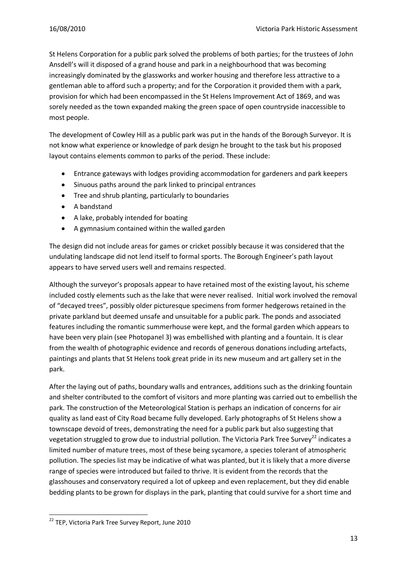St Helens Corporation for a public park solved the problems of both parties; for the trustees of John Ansdell's will it disposed of a grand house and park in a neighbourhood that was becoming increasingly dominated by the glassworks and worker housing and therefore less attractive to a gentleman able to afford such a property; and for the Corporation it provided them with a park, provision for which had been encompassed in the St Helens Improvement Act of 1869, and was sorely needed as the town expanded making the green space of open countryside inaccessible to most people.

The development of Cowley Hill as a public park was put in the hands of the Borough Surveyor. It is not know what experience or knowledge of park design he brought to the task but his proposed layout contains elements common to parks of the period. These include:

- $\bullet$ Entrance gateways with lodges providing accommodation for gardeners and park keepers
- Sinuous paths around the park linked to principal entrances
- Tree and shrub planting, particularly to boundaries
- A bandstand
- A lake, probably intended for boating
- A gymnasium contained within the walled garden  $\bullet$

The design did not include areas for games or cricket possibly because it was considered that the undulating landscape did not lend itself to formal sports. The Borough Engineer's path layout appears to have served users well and remains respected.

Although the surveyor's proposals appear to have retained most of the existing layout, his scheme included costly elements such as the lake that were never realised. Initial work involved the removal of "decayed trees", possibly older picturesque specimens from former hedgerows retained in the private parkland but deemed unsafe and unsuitable for a public park. The ponds and associated features including the romantic summerhouse were kept, and the formal garden which appears to have been very plain (see Photopanel 3) was embellished with planting and a fountain. It is clear from the wealth of photographic evidence and records of generous donations including artefacts, paintings and plants that St Helens took great pride in its new museum and art gallery set in the park.

After the laying out of paths, boundary walls and entrances, additions such as the drinking fountain and shelter contributed to the comfort of visitors and more planting was carried out to embellish the park. The construction of the Meteorological Station is perhaps an indication of concerns for air quality as land east of City Road became fully developed. Early photographs of St Helens show a townscape devoid of trees, demonstrating the need for a public park but also suggesting that vegetation struggled to grow due to industrial pollution. The Victoria Park Tree Survey<sup>22</sup> indicates a limited number of mature trees, most of these being sycamore, a species tolerant of atmospheric pollution. The species list may be indicative of what was planted, but it is likely that a more diverse range of species were introduced but failed to thrive. It is evident from the records that the glasshouses and conservatory required a lot of upkeep and even replacement, but they did enable bedding plants to be grown for displays in the park, planting that could survive for a short time and

**<sup>.</sup>** <sup>22</sup> TEP, Victoria Park Tree Survey Report, June 2010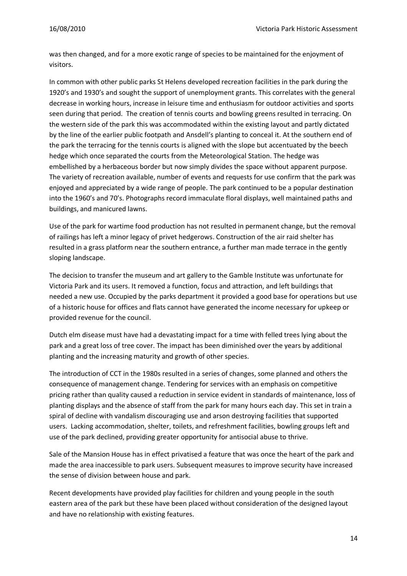was then changed, and for a more exotic range of species to be maintained for the enjoyment of visitors.

In common with other public parks St Helens developed recreation facilities in the park during the 1920's and 1930's and sought the support of unemployment grants. This correlates with the general decrease in working hours, increase in leisure time and enthusiasm for outdoor activities and sports seen during that period. The creation of tennis courts and bowling greens resulted in terracing. On the western side of the park this was accommodated within the existing layout and partly dictated by the line of the earlier public footpath and Ansdell's planting to conceal it. At the southern end of the park the terracing for the tennis courts is aligned with the slope but accentuated by the beech hedge which once separated the courts from the Meteorological Station. The hedge was embellished by a herbaceous border but now simply divides the space without apparent purpose. The variety of recreation available, number of events and requests for use confirm that the park was enjoyed and appreciated by a wide range of people. The park continued to be a popular destination into the 1960's and 70's. Photographs record immaculate floral displays, well maintained paths and buildings, and manicured lawns.

Use of the park for wartime food production has not resulted in permanent change, but the removal of railings has left a minor legacy of privet hedgerows. Construction of the air raid shelter has resulted in a grass platform near the southern entrance, a further man made terrace in the gently sloping landscape.

The decision to transfer the museum and art gallery to the Gamble Institute was unfortunate for Victoria Park and its users. It removed a function, focus and attraction, and left buildings that needed a new use. Occupied by the parks department it provided a good base for operations but use of a historic house for offices and flats cannot have generated the income necessary for upkeep or provided revenue for the council.

Dutch elm disease must have had a devastating impact for a time with felled trees lying about the park and a great loss of tree cover. The impact has been diminished over the years by additional planting and the increasing maturity and growth of other species.

The introduction of CCT in the 1980s resulted in a series of changes, some planned and others the consequence of management change. Tendering for services with an emphasis on competitive pricing rather than quality caused a reduction in service evident in standards of maintenance, loss of planting displays and the absence of staff from the park for many hours each day. This set in train a spiral of decline with vandalism discouraging use and arson destroying facilities that supported users. Lacking accommodation, shelter, toilets, and refreshment facilities, bowling groups left and use of the park declined, providing greater opportunity for antisocial abuse to thrive.

Sale of the Mansion House has in effect privatised a feature that was once the heart of the park and made the area inaccessible to park users. Subsequent measures to improve security have increased the sense of division between house and park.

Recent developments have provided play facilities for children and young people in the south eastern area of the park but these have been placed without consideration of the designed layout and have no relationship with existing features.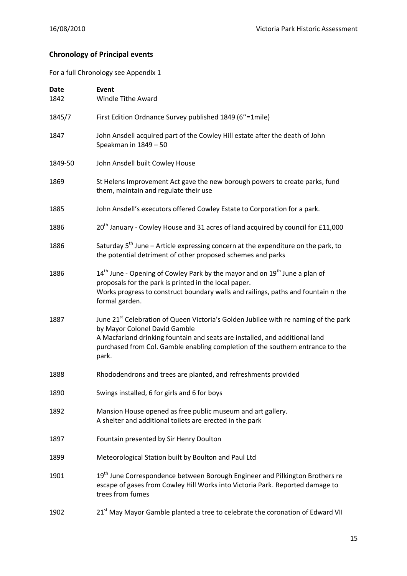## **Chronology of Principal events**

For a full Chronology see Appendix 1

| <b>Date</b><br>1842 | Event<br>Windle Tithe Award                                                                                                                                                                                                                                                                                |
|---------------------|------------------------------------------------------------------------------------------------------------------------------------------------------------------------------------------------------------------------------------------------------------------------------------------------------------|
| 1845/7              | First Edition Ordnance Survey published 1849 (6"=1mile)                                                                                                                                                                                                                                                    |
| 1847                | John Ansdell acquired part of the Cowley Hill estate after the death of John<br>Speakman in 1849 - 50                                                                                                                                                                                                      |
| 1849-50             | John Ansdell built Cowley House                                                                                                                                                                                                                                                                            |
| 1869                | St Helens Improvement Act gave the new borough powers to create parks, fund<br>them, maintain and regulate their use                                                                                                                                                                                       |
| 1885                | John Ansdell's executors offered Cowley Estate to Corporation for a park.                                                                                                                                                                                                                                  |
| 1886                | 20 <sup>th</sup> January - Cowley House and 31 acres of land acquired by council for £11,000                                                                                                                                                                                                               |
| 1886                | Saturday $5^{th}$ June – Article expressing concern at the expenditure on the park, to<br>the potential detriment of other proposed schemes and parks                                                                                                                                                      |
| 1886                | 14 <sup>th</sup> June - Opening of Cowley Park by the mayor and on 19 <sup>th</sup> June a plan of<br>proposals for the park is printed in the local paper.<br>Works progress to construct boundary walls and railings, paths and fountain n the<br>formal garden.                                         |
| 1887                | June 21 <sup>st</sup> Celebration of Queen Victoria's Golden Jubilee with re naming of the park<br>by Mayor Colonel David Gamble<br>A Macfarland drinking fountain and seats are installed, and additional land<br>purchased from Col. Gamble enabling completion of the southern entrance to the<br>park. |
| 1888                | Rhododendrons and trees are planted, and refreshments provided                                                                                                                                                                                                                                             |
| 1890                | Swings installed, 6 for girls and 6 for boys                                                                                                                                                                                                                                                               |
| 1892                | Mansion House opened as free public museum and art gallery.<br>A shelter and additional toilets are erected in the park                                                                                                                                                                                    |
| 1897                | Fountain presented by Sir Henry Doulton                                                                                                                                                                                                                                                                    |
| 1899                | Meteorological Station built by Boulton and Paul Ltd                                                                                                                                                                                                                                                       |
| 1901                | 19 <sup>th</sup> June Correspondence between Borough Engineer and Pilkington Brothers re<br>escape of gases from Cowley Hill Works into Victoria Park. Reported damage to<br>trees from fumes                                                                                                              |
| 1902                | 21st May Mayor Gamble planted a tree to celebrate the coronation of Edward VII                                                                                                                                                                                                                             |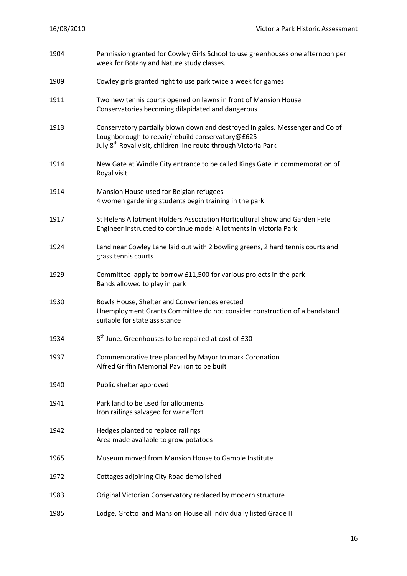| 1904 | Permission granted for Cowley Girls School to use greenhouses one afternoon per<br>week for Botany and Nature study classes.                                                                                     |
|------|------------------------------------------------------------------------------------------------------------------------------------------------------------------------------------------------------------------|
| 1909 | Cowley girls granted right to use park twice a week for games                                                                                                                                                    |
| 1911 | Two new tennis courts opened on lawns in front of Mansion House<br>Conservatories becoming dilapidated and dangerous                                                                                             |
| 1913 | Conservatory partially blown down and destroyed in gales. Messenger and Co of<br>Loughborough to repair/rebuild conservatory@£625<br>July 8 <sup>th</sup> Royal visit, children line route through Victoria Park |
| 1914 | New Gate at Windle City entrance to be called Kings Gate in commemoration of<br>Royal visit                                                                                                                      |
| 1914 | Mansion House used for Belgian refugees<br>4 women gardening students begin training in the park                                                                                                                 |
| 1917 | St Helens Allotment Holders Association Horticultural Show and Garden Fete<br>Engineer instructed to continue model Allotments in Victoria Park                                                                  |
| 1924 | Land near Cowley Lane laid out with 2 bowling greens, 2 hard tennis courts and<br>grass tennis courts                                                                                                            |
| 1929 | Committee apply to borrow £11,500 for various projects in the park<br>Bands allowed to play in park                                                                                                              |
| 1930 | Bowls House, Shelter and Conveniences erected<br>Unemployment Grants Committee do not consider construction of a bandstand<br>suitable for state assistance                                                      |
| 1934 | 8 <sup>th</sup> June. Greenhouses to be repaired at cost of £30                                                                                                                                                  |
| 1937 | Commemorative tree planted by Mayor to mark Coronation<br>Alfred Griffin Memorial Pavilion to be built                                                                                                           |
| 1940 | Public shelter approved                                                                                                                                                                                          |
| 1941 | Park land to be used for allotments<br>Iron railings salvaged for war effort                                                                                                                                     |
| 1942 | Hedges planted to replace railings<br>Area made available to grow potatoes                                                                                                                                       |
| 1965 | Museum moved from Mansion House to Gamble Institute                                                                                                                                                              |
| 1972 | Cottages adjoining City Road demolished                                                                                                                                                                          |
| 1983 | Original Victorian Conservatory replaced by modern structure                                                                                                                                                     |
| 1985 | Lodge, Grotto and Mansion House all individually listed Grade II                                                                                                                                                 |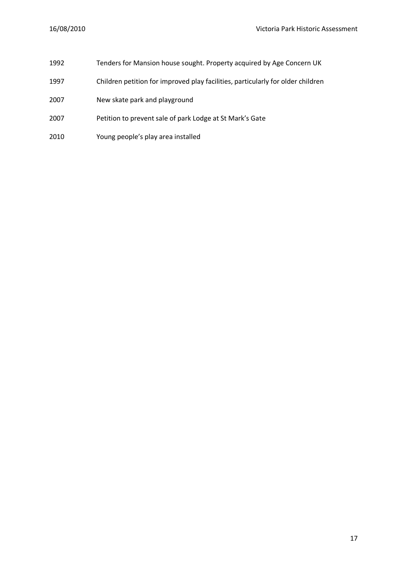- Tenders for Mansion house sought. Property acquired by Age Concern UK
- Children petition for improved play facilities, particularly for older children
- 2007 New skate park and playground
- Petition to prevent sale of park Lodge at St Mark's Gate
- Young people's play area installed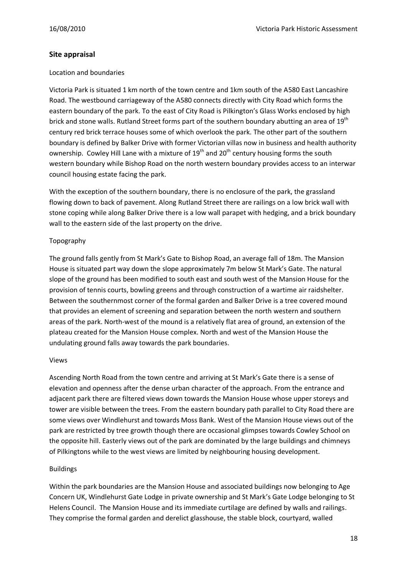#### **Site appraisal**

#### Location and boundaries

Victoria Park is situated 1 km north of the town centre and 1km south of the A580 East Lancashire Road. The westbound carriageway of the A580 connects directly with City Road which forms the eastern boundary of the park. To the east of City Road is Pilkington's Glass Works enclosed by high brick and stone walls. Rutland Street forms part of the southern boundary abutting an area of 19<sup>th</sup> century red brick terrace houses some of which overlook the park. The other part of the southern boundary is defined by Balker Drive with former Victorian villas now in business and health authority ownership. Cowley Hill Lane with a mixture of 19<sup>th</sup> and 20<sup>th</sup> century housing forms the south western boundary while Bishop Road on the north western boundary provides access to an interwar council housing estate facing the park.

With the exception of the southern boundary, there is no enclosure of the park, the grassland flowing down to back of pavement. Along Rutland Street there are railings on a low brick wall with stone coping while along Balker Drive there is a low wall parapet with hedging, and a brick boundary wall to the eastern side of the last property on the drive.

#### Topography

The ground falls gently from St Mark's Gate to Bishop Road, an average fall of 18m. The Mansion House is situated part way down the slope approximately 7m below St Mark's Gate. The natural slope of the ground has been modified to south east and south west of the Mansion House for the provision of tennis courts, bowling greens and through construction of a wartime air raidshelter. Between the southernmost corner of the formal garden and Balker Drive is a tree covered mound that provides an element of screening and separation between the north western and southern areas of the park. North-west of the mound is a relatively flat area of ground, an extension of the plateau created for the Mansion House complex. North and west of the Mansion House the undulating ground falls away towards the park boundaries.

#### Views

Ascending North Road from the town centre and arriving at St Mark's Gate there is a sense of elevation and openness after the dense urban character of the approach. From the entrance and adjacent park there are filtered views down towards the Mansion House whose upper storeys and tower are visible between the trees. From the eastern boundary path parallel to City Road there are some views over Windlehurst and towards Moss Bank. West of the Mansion House views out of the park are restricted by tree growth though there are occasional glimpses towards Cowley School on the opposite hill. Easterly views out of the park are dominated by the large buildings and chimneys of Pilkingtons while to the west views are limited by neighbouring housing development.

#### Buildings

Within the park boundaries are the Mansion House and associated buildings now belonging to Age Concern UK, Windlehurst Gate Lodge in private ownership and St Mark's Gate Lodge belonging to St Helens Council. The Mansion House and its immediate curtilage are defined by walls and railings. They comprise the formal garden and derelict glasshouse, the stable block, courtyard, walled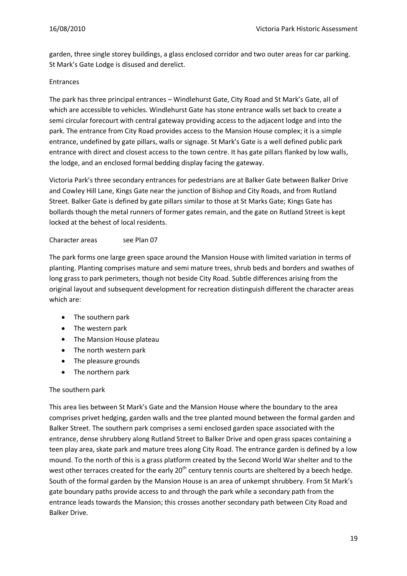garden, three single storey buildings, a glass enclosed corridor and two outer areas for car parking. St Mark's Gate Lodge is disused and derelict.

#### Entrances

The park has three principal entrances – Windlehurst Gate, City Road and St Mark's Gate, all of which are accessible to vehicles. Windlehurst Gate has stone entrance walls set back to create a semi circular forecourt with central gateway providing access to the adjacent lodge and into the park. The entrance from City Road provides access to the Mansion House complex; it is a simple entrance, undefined by gate pillars, walls or signage. St Mark's Gate is a well defined public park entrance with direct and closest access to the town centre. It has gate pillars flanked by low walls, the lodge, and an enclosed formal bedding display facing the gateway.

Victoria Park's three secondary entrances for pedestrians are at Balker Gate between Balker Drive and Cowley Hill Lane, Kings Gate near the junction of Bishop and City Roads, and from Rutland Street. Balker Gate is defined by gate pillars similar to those at St Marks Gate; Kings Gate has bollards though the metal runners of former gates remain, and the gate on Rutland Street is kept locked at the behest of local residents.

#### Character areas see Plan 07

The park forms one large green space around the Mansion House with limited variation in terms of planting. Planting comprises mature and semi mature trees, shrub beds and borders and swathes of long grass to park perimeters, though not beside City Road. Subtle differences arising from the original layout and subsequent development for recreation distinguish different the character areas which are:

- The southern park
- The western park
- The Mansion House plateau
- The north western park
- The pleasure grounds
- $\bullet$ The northern park

#### The southern park

This area lies between St Mark's Gate and the Mansion House where the boundary to the area comprises privet hedging, garden walls and the tree planted mound between the formal garden and Balker Street. The southern park comprises a semi enclosed garden space associated with the entrance, dense shrubbery along Rutland Street to Balker Drive and open grass spaces containing a teen play area, skate park and mature trees along City Road. The entrance garden is defined by a low mound. To the north of this is a grass platform created by the Second World War shelter and to the west other terraces created for the early 20<sup>th</sup> century tennis courts are sheltered by a beech hedge. South of the formal garden by the Mansion House is an area of unkempt shrubbery. From St Mark's gate boundary paths provide access to and through the park while a secondary path from the entrance leads towards the Mansion; this crosses another secondary path between City Road and Balker Drive.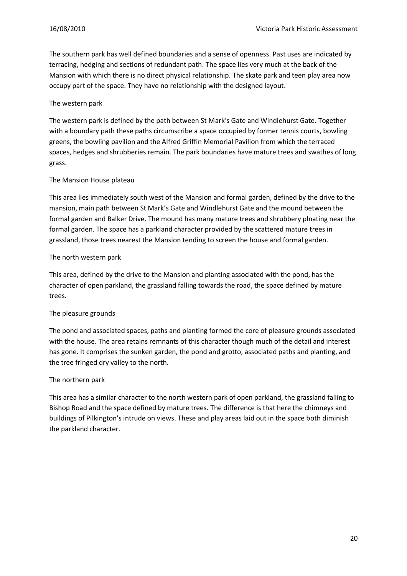The southern park has well defined boundaries and a sense of openness. Past uses are indicated by terracing, hedging and sections of redundant path. The space lies very much at the back of the Mansion with which there is no direct physical relationship. The skate park and teen play area now occupy part of the space. They have no relationship with the designed layout.

#### The western park

The western park is defined by the path between St Mark's Gate and Windlehurst Gate. Together with a boundary path these paths circumscribe a space occupied by former tennis courts, bowling greens, the bowling pavilion and the Alfred Griffin Memorial Pavilion from which the terraced spaces, hedges and shrubberies remain. The park boundaries have mature trees and swathes of long grass.

#### The Mansion House plateau

This area lies immediately south west of the Mansion and formal garden, defined by the drive to the mansion, main path between St Mark's Gate and Windlehurst Gate and the mound between the formal garden and Balker Drive. The mound has many mature trees and shrubbery plnating near the formal garden. The space has a parkland character provided by the scattered mature trees in grassland, those trees nearest the Mansion tending to screen the house and formal garden.

#### The north western park

This area, defined by the drive to the Mansion and planting associated with the pond, has the character of open parkland, the grassland falling towards the road, the space defined by mature trees.

#### The pleasure grounds

The pond and associated spaces, paths and planting formed the core of pleasure grounds associated with the house. The area retains remnants of this character though much of the detail and interest has gone. It comprises the sunken garden, the pond and grotto, associated paths and planting, and the tree fringed dry valley to the north.

#### The northern park

This area has a similar character to the north western park of open parkland, the grassland falling to Bishop Road and the space defined by mature trees. The difference is that here the chimneys and buildings of Pilkington's intrude on views. These and play areas laid out in the space both diminish the parkland character.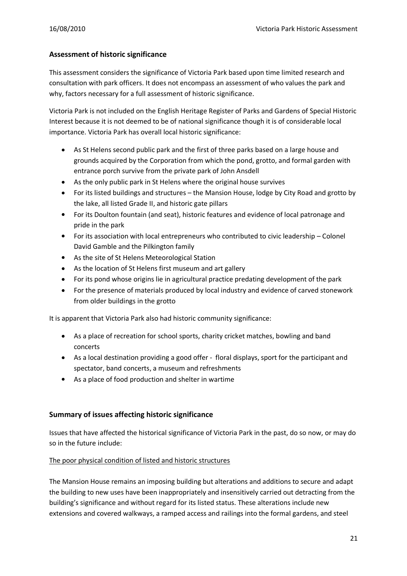#### **Assessment of historic significance**

This assessment considers the significance of Victoria Park based upon time limited research and consultation with park officers. It does not encompass an assessment of who values the park and why, factors necessary for a full assessment of historic significance.

Victoria Park is not included on the English Heritage Register of Parks and Gardens of Special Historic Interest because it is not deemed to be of national significance though it is of considerable local importance. Victoria Park has overall local historic significance:

- As St Helens second public park and the first of three parks based on a large house and  $\bullet$ grounds acquired by the Corporation from which the pond, grotto, and formal garden with entrance porch survive from the private park of John Ansdell
- As the only public park in St Helens where the original house survives
- For its listed buildings and structures the Mansion House, lodge by City Road and grotto by the lake, all listed Grade II, and historic gate pillars
- $\bullet$ For its Doulton fountain (and seat), historic features and evidence of local patronage and pride in the park
- $\bullet$ For its association with local entrepreneurs who contributed to civic leadership – Colonel David Gamble and the Pilkington family
- As the site of St Helens Meteorological Station
- As the location of St Helens first museum and art gallery
- For its pond whose origins lie in agricultural practice predating development of the park
- For the presence of materials produced by local industry and evidence of carved stonework  $\bullet$ from older buildings in the grotto

It is apparent that Victoria Park also had historic community significance:

- As a place of recreation for school sports, charity cricket matches, bowling and band concerts
- As a local destination providing a good offer floral displays, sport for the participant and spectator, band concerts, a museum and refreshments
- As a place of food production and shelter in wartime

#### **Summary of issues affecting historic significance**

Issues that have affected the historical significance of Victoria Park in the past, do so now, or may do so in the future include:

#### The poor physical condition of listed and historic structures

The Mansion House remains an imposing building but alterations and additions to secure and adapt the building to new uses have been inappropriately and insensitively carried out detracting from the building's significance and without regard for its listed status. These alterations include new extensions and covered walkways, a ramped access and railings into the formal gardens, and steel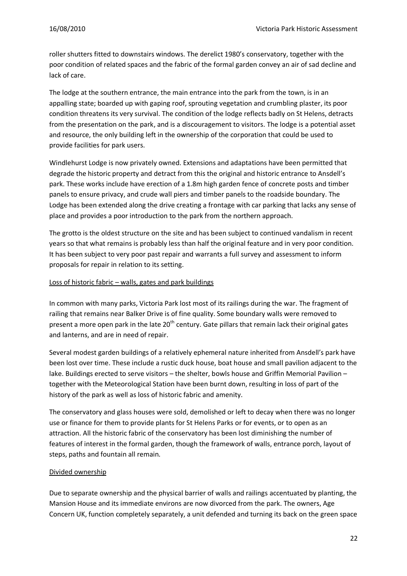roller shutters fitted to downstairs windows. The derelict 1980's conservatory, together with the poor condition of related spaces and the fabric of the formal garden convey an air of sad decline and lack of care.

The lodge at the southern entrance, the main entrance into the park from the town, is in an appalling state; boarded up with gaping roof, sprouting vegetation and crumbling plaster, its poor condition threatens its very survival. The condition of the lodge reflects badly on St Helens, detracts from the presentation on the park, and is a discouragement to visitors. The lodge is a potential asset and resource, the only building left in the ownership of the corporation that could be used to provide facilities for park users.

Windlehurst Lodge is now privately owned. Extensions and adaptations have been permitted that degrade the historic property and detract from this the original and historic entrance to Ansdell's park. These works include have erection of a 1.8m high garden fence of concrete posts and timber panels to ensure privacy, and crude wall piers and timber panels to the roadside boundary. The Lodge has been extended along the drive creating a frontage with car parking that lacks any sense of place and provides a poor introduction to the park from the northern approach.

The grotto is the oldest structure on the site and has been subject to continued vandalism in recent years so that what remains is probably less than half the original feature and in very poor condition. It has been subject to very poor past repair and warrants a full survey and assessment to inform proposals for repair in relation to its setting.

#### Loss of historic fabric – walls, gates and park buildings

In common with many parks, Victoria Park lost most of its railings during the war. The fragment of railing that remains near Balker Drive is of fine quality. Some boundary walls were removed to present a more open park in the late  $20<sup>th</sup>$  century. Gate pillars that remain lack their original gates and lanterns, and are in need of repair.

Several modest garden buildings of a relatively ephemeral nature inherited from Ansdell's park have been lost over time. These include a rustic duck house, boat house and small pavilion adjacent to the lake. Buildings erected to serve visitors – the shelter, bowls house and Griffin Memorial Pavilion – together with the Meteorological Station have been burnt down, resulting in loss of part of the history of the park as well as loss of historic fabric and amenity.

The conservatory and glass houses were sold, demolished or left to decay when there was no longer use or finance for them to provide plants for St Helens Parks or for events, or to open as an attraction. All the historic fabric of the conservatory has been lost diminishing the number of features of interest in the formal garden, though the framework of walls, entrance porch, layout of steps, paths and fountain all remain.

#### Divided ownership

Due to separate ownership and the physical barrier of walls and railings accentuated by planting, the Mansion House and its immediate environs are now divorced from the park. The owners, Age Concern UK, function completely separately, a unit defended and turning its back on the green space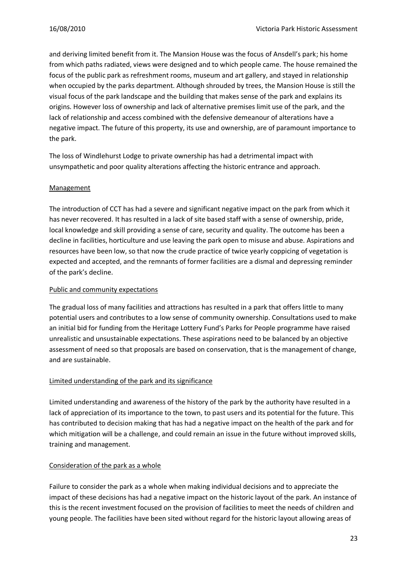and deriving limited benefit from it. The Mansion House was the focus of Ansdell's park; his home from which paths radiated, views were designed and to which people came. The house remained the focus of the public park as refreshment rooms, museum and art gallery, and stayed in relationship when occupied by the parks department. Although shrouded by trees, the Mansion House is still the visual focus of the park landscape and the building that makes sense of the park and explains its origins. However loss of ownership and lack of alternative premises limit use of the park, and the lack of relationship and access combined with the defensive demeanour of alterations have a negative impact. The future of this property, its use and ownership, are of paramount importance to the park.

The loss of Windlehurst Lodge to private ownership has had a detrimental impact with unsympathetic and poor quality alterations affecting the historic entrance and approach.

#### Management

The introduction of CCT has had a severe and significant negative impact on the park from which it has never recovered. It has resulted in a lack of site based staff with a sense of ownership, pride, local knowledge and skill providing a sense of care, security and quality. The outcome has been a decline in facilities, horticulture and use leaving the park open to misuse and abuse. Aspirations and resources have been low, so that now the crude practice of twice yearly coppicing of vegetation is expected and accepted, and the remnants of former facilities are a dismal and depressing reminder of the park's decline.

#### Public and community expectations

The gradual loss of many facilities and attractions has resulted in a park that offers little to many potential users and contributes to a low sense of community ownership. Consultations used to make an initial bid for funding from the Heritage Lottery Fund's Parks for People programme have raised unrealistic and unsustainable expectations. These aspirations need to be balanced by an objective assessment of need so that proposals are based on conservation, that is the management of change, and are sustainable.

#### Limited understanding of the park and its significance

Limited understanding and awareness of the history of the park by the authority have resulted in a lack of appreciation of its importance to the town, to past users and its potential for the future. This has contributed to decision making that has had a negative impact on the health of the park and for which mitigation will be a challenge, and could remain an issue in the future without improved skills, training and management.

#### Consideration of the park as a whole

Failure to consider the park as a whole when making individual decisions and to appreciate the impact of these decisions has had a negative impact on the historic layout of the park. An instance of this is the recent investment focused on the provision of facilities to meet the needs of children and young people. The facilities have been sited without regard for the historic layout allowing areas of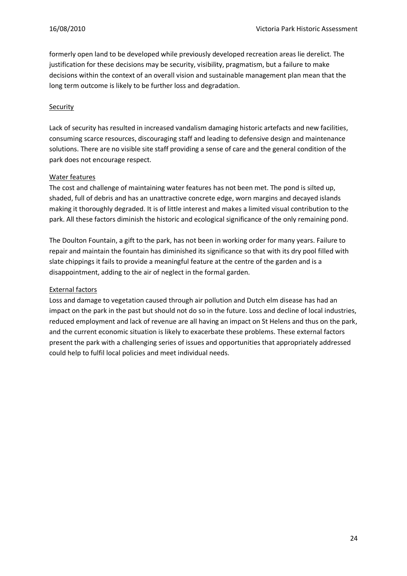formerly open land to be developed while previously developed recreation areas lie derelict. The justification for these decisions may be security, visibility, pragmatism, but a failure to make decisions within the context of an overall vision and sustainable management plan mean that the long term outcome is likely to be further loss and degradation.

#### **Security**

Lack of security has resulted in increased vandalism damaging historic artefacts and new facilities, consuming scarce resources, discouraging staff and leading to defensive design and maintenance solutions. There are no visible site staff providing a sense of care and the general condition of the park does not encourage respect.

#### Water features

The cost and challenge of maintaining water features has not been met. The pond is silted up, shaded, full of debris and has an unattractive concrete edge, worn margins and decayed islands making it thoroughly degraded. It is of little interest and makes a limited visual contribution to the park. All these factors diminish the historic and ecological significance of the only remaining pond.

The Doulton Fountain, a gift to the park, has not been in working order for many years. Failure to repair and maintain the fountain has diminished its significance so that with its dry pool filled with slate chippings it fails to provide a meaningful feature at the centre of the garden and is a disappointment, adding to the air of neglect in the formal garden.

#### External factors

Loss and damage to vegetation caused through air pollution and Dutch elm disease has had an impact on the park in the past but should not do so in the future. Loss and decline of local industries, reduced employment and lack of revenue are all having an impact on St Helens and thus on the park, and the current economic situation is likely to exacerbate these problems. These external factors present the park with a challenging series of issues and opportunities that appropriately addressed could help to fulfil local policies and meet individual needs.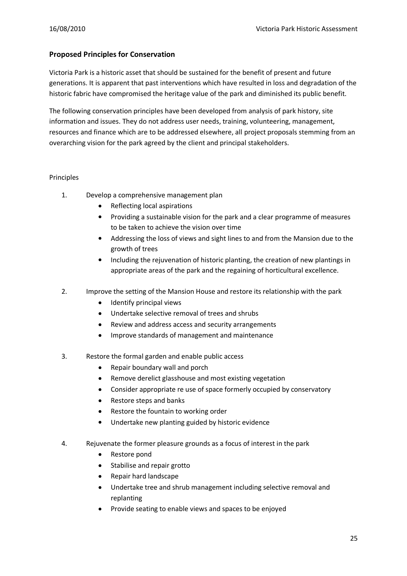#### **Proposed Principles for Conservation**

Victoria Park is a historic asset that should be sustained for the benefit of present and future generations. It is apparent that past interventions which have resulted in loss and degradation of the historic fabric have compromised the heritage value of the park and diminished its public benefit.

The following conservation principles have been developed from analysis of park history, site information and issues. They do not address user needs, training, volunteering, management, resources and finance which are to be addressed elsewhere, all project proposals stemming from an overarching vision for the park agreed by the client and principal stakeholders.

#### Principles

- 1. Develop a comprehensive management plan
	- Reflecting local aspirations
	- Providing a sustainable vision for the park and a clear programme of measures to be taken to achieve the vision over time
	- Addressing the loss of views and sight lines to and from the Mansion due to the growth of trees
	- Including the rejuvenation of historic planting, the creation of new plantings in appropriate areas of the park and the regaining of horticultural excellence.
- 2. Improve the setting of the Mansion House and restore its relationship with the park
	- Identify principal views
	- Undertake selective removal of trees and shrubs  $\bullet$
	- Review and address access and security arrangements
	- Improve standards of management and maintenance  $\bullet$
- 3. Restore the formal garden and enable public access
	- Repair boundary wall and porch  $\bullet$
	- Remove derelict glasshouse and most existing vegetation  $\bullet$
	- Consider appropriate re use of space formerly occupied by conservatory  $\bullet$
	- Restore steps and banks
	- Restore the fountain to working order  $\bullet$
	- Undertake new planting guided by historic evidence
- 4. Rejuvenate the former pleasure grounds as a focus of interest in the park
	- Restore pond
	- Stabilise and repair grotto  $\bullet$
	- Repair hard landscape
	- Undertake tree and shrub management including selective removal and replanting
	- Provide seating to enable views and spaces to be enjoyed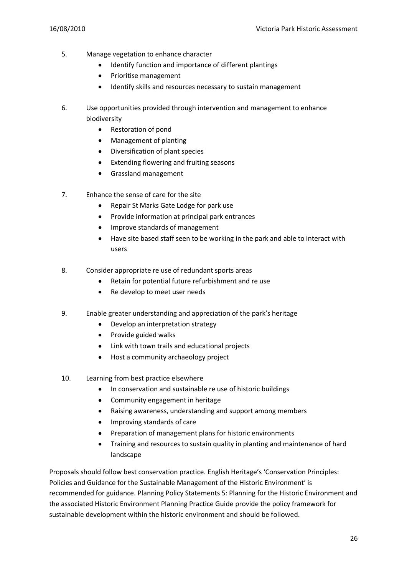- 5. Manage vegetation to enhance character
	- Identify function and importance of different plantings  $\bullet$
	- Prioritise management  $\bullet$
	- Identify skills and resources necessary to sustain management  $\bullet$
- 6. Use opportunities provided through intervention and management to enhance biodiversity
	- Restoration of pond  $\bullet$
	- Management of planting
	- Diversification of plant species
	- Extending flowering and fruiting seasons
	- Grassland management  $\bullet$
- 7. Enhance the sense of care for the site
	- $\bullet$ Repair St Marks Gate Lodge for park use
	- Provide information at principal park entrances
	- Improve standards of management
	- Have site based staff seen to be working in the park and able to interact with users
- 8. Consider appropriate re use of redundant sports areas
	- $\bullet$ Retain for potential future refurbishment and re use
	- Re develop to meet user needs  $\bullet$
- 9. Enable greater understanding and appreciation of the park's heritage
	- $\bullet$ Develop an interpretation strategy
	- Provide guided walks  $\bullet$
	- Link with town trails and educational projects
	- Host a community archaeology project  $\bullet$
- 10. Learning from best practice elsewhere
	- $\bullet$ In conservation and sustainable re use of historic buildings
	- Community engagement in heritage
	- Raising awareness, understanding and support among members  $\bullet$
	- Improving standards of care
	- Preparation of management plans for historic environments
	- Training and resources to sustain quality in planting and maintenance of hard  $\bullet$ landscape

Proposals should follow best conservation practice. English Heritage's 'Conservation Principles: Policies and Guidance for the Sustainable Management of the Historic Environment' is recommended for guidance. Planning Policy Statements 5: Planning for the Historic Environment and the associated Historic Environment Planning Practice Guide provide the policy framework for sustainable development within the historic environment and should be followed.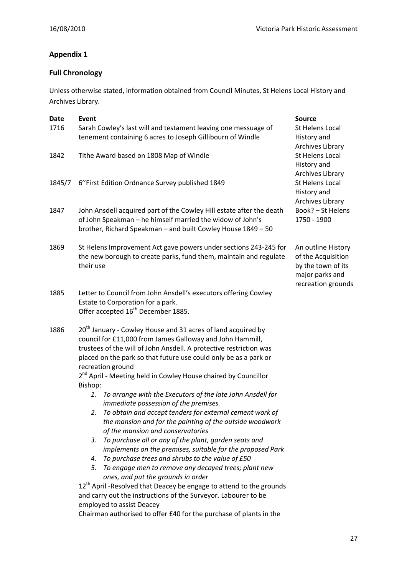## **Appendix 1**

## **Full Chronology**

Unless otherwise stated, information obtained from Council Minutes, St Helens Local History and Archives Library.

| Date<br>1716 | Event<br>Sarah Cowley's last will and testament leaving one messuage of<br>tenement containing 6 acres to Joseph Gillibourn of Windle                                                                                                                                                                                                                                    | <b>Source</b><br>St Helens Local<br>History and                                                         |
|--------------|--------------------------------------------------------------------------------------------------------------------------------------------------------------------------------------------------------------------------------------------------------------------------------------------------------------------------------------------------------------------------|---------------------------------------------------------------------------------------------------------|
| 1842         | Tithe Award based on 1808 Map of Windle                                                                                                                                                                                                                                                                                                                                  | Archives Library<br>St Helens Local<br>History and<br>Archives Library                                  |
| 1845/7       | 6"First Edition Ordnance Survey published 1849                                                                                                                                                                                                                                                                                                                           | <b>St Helens Local</b><br>History and<br>Archives Library                                               |
| 1847         | John Ansdell acquired part of the Cowley Hill estate after the death<br>of John Speakman - he himself married the widow of John's<br>brother, Richard Speakman - and built Cowley House 1849 - 50                                                                                                                                                                        | Book? - St Helens<br>1750 - 1900                                                                        |
| 1869         | St Helens Improvement Act gave powers under sections 243-245 for<br>the new borough to create parks, fund them, maintain and regulate<br>their use                                                                                                                                                                                                                       | An outline History<br>of the Acquisition<br>by the town of its<br>major parks and<br>recreation grounds |
| 1885         | Letter to Council from John Ansdell's executors offering Cowley<br>Estate to Corporation for a park.<br>Offer accepted 16 <sup>th</sup> December 1885.                                                                                                                                                                                                                   |                                                                                                         |
| 1886         | $20th$ January - Cowley House and 31 acres of land acquired by<br>council for £11,000 from James Galloway and John Hammill,<br>trustees of the will of John Ansdell. A protective restriction was<br>placed on the park so that future use could only be as a park or<br>recreation ground<br>2 <sup>nd</sup> April - Meeting held in Cowley House chaired by Councillor |                                                                                                         |
|              | Bishop:<br>To arrange with the Executors of the late John Ansdell for<br>1.<br>immediate possession of the premises.<br>To obtain and accept tenders for external cement work of<br>2.<br>the mansion and for the painting of the outside woodwork<br>of the mansion and conservatories                                                                                  |                                                                                                         |
|              | To purchase all or any of the plant, garden seats and<br>3.<br>implements on the premises, suitable for the proposed Park<br>To purchase trees and shrubs to the value of £50<br>4.<br>5. To engage men to remove any decayed trees; plant new                                                                                                                           |                                                                                                         |
|              | ones, and put the grounds in order<br>12 <sup>th</sup> April - Resolved that Deacey be engage to attend to the grounds<br>and carry out the instructions of the Surveyor. Labourer to be<br>employed to assist Deacey                                                                                                                                                    |                                                                                                         |

Chairman authorised to offer £40 for the purchase of plants in the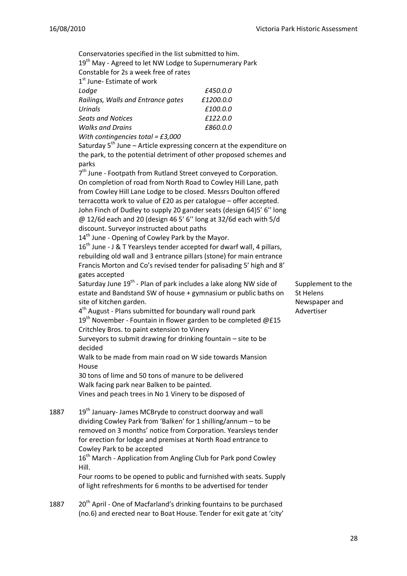Conservatories specified in the list submitted to him.

19<sup>th</sup> May - Agreed to let NW Lodge to Supernumerary Park

Constable for 2s a week free of rates

1st June- Estimate of work

| Lodge                               | £450.0.0  |
|-------------------------------------|-----------|
| Railings, Walls and Entrance gates  | £1200.0.0 |
| <b>Urinals</b>                      | £100.0.0  |
| <b>Seats and Notices</b>            | £122.0.0  |
| <b>Walks and Drains</b>             | £860.0.0  |
| With contingencies total = $E3,000$ |           |

Saturday  $5<sup>th</sup>$  June – Article expressing concern at the expenditure on the park, to the potential detriment of other proposed schemes and parks

7<sup>th</sup> June - Footpath from Rutland Street conveyed to Corporation. On completion of road from North Road to Cowley Hill Lane, path from Cowley Hill Lane Lodge to be closed. Messrs Doulton offered terracotta work to value of £20 as per catalogue – offer accepted. John Finch of Dudley to supply 20 gander seats (design 64)5' 6'' long @ 12/6d each and 20 (design 46 5' 6'' long at 32/6d each with 5/d discount. Surveyor instructed about paths

14<sup>th</sup> June - Opening of Cowley Park by the Mayor.

16<sup>th</sup> June - J & T Yearsleys tender accepted for dwarf wall, 4 pillars, rebuilding old wall and 3 entrance pillars (stone) for main entrance Francis Morton and Co's revised tender for palisading 5' high and 8' gates accepted

Saturday June 19<sup>th</sup> - Plan of park includes a lake along NW side of estate and Bandstand SW of house + gymnasium or public baths on site of kitchen garden.

4<sup>th</sup> August - Plans submitted for boundary wall round park  $19<sup>th</sup>$  November - Fountain in flower garden to be completed @£15 Critchley Bros. to paint extension to Vinery

Surveyors to submit drawing for drinking fountain – site to be decided

Walk to be made from main road on W side towards Mansion House

30 tons of lime and 50 tons of manure to be delivered Walk facing park near Balken to be painted. Vines and peach trees in No 1 Vinery to be disposed of

1887 19<sup>th</sup> January- James MCBryde to construct doorway and wall dividing Cowley Park from 'Balken' for 1 shilling/annum – to be removed on 3 months' notice from Corporation. Yearsleys tender for erection for lodge and premises at North Road entrance to Cowley Park to be accepted

> 16<sup>th</sup> March - Application from Angling Club for Park pond Cowley Hill.

Four rooms to be opened to public and furnished with seats. Supply of light refreshments for 6 months to be advertised for tender

1887 20<sup>th</sup> April - One of Macfarland's drinking fountains to be purchased (no.6) and erected near to Boat House. Tender for exit gate at 'city' Supplement to the St Helens Newspaper and Advertiser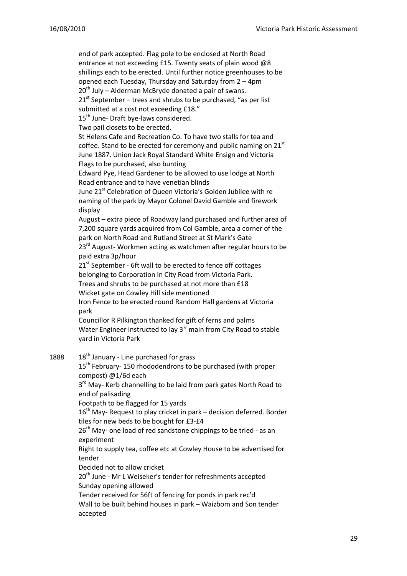end of park accepted. Flag pole to be enclosed at North Road entrance at not exceeding £15. Twenty seats of plain wood @8 shillings each to be erected. Until further notice greenhouses to be opened each Tuesday, Thursday and Saturday from 2 – 4pm  $20<sup>th</sup>$  July – Alderman McBryde donated a pair of swans.  $21<sup>st</sup>$  September – trees and shrubs to be purchased, "as per list submitted at a cost not exceeding £18." 15<sup>th</sup> June- Draft bye-laws considered. Two pail closets to be erected. St Helens Cafe and Recreation Co. To have two stalls for tea and coffee. Stand to be erected for ceremony and public naming on  $21<sup>st</sup>$ June 1887. Union Jack Royal Standard White Ensign and Victoria Flags to be purchased, also bunting Edward Pye, Head Gardener to be allowed to use lodge at North Road entrance and to have venetian blinds June 21<sup>st</sup> Celebration of Queen Victoria's Golden Jubilee with re naming of the park by Mayor Colonel David Gamble and firework display August – extra piece of Roadway land purchased and further area of 7,200 square yards acquired from Col Gamble, area a corner of the park on North Road and Rutland Street at St Mark's Gate 23<sup>rd</sup> August-Workmen acting as watchmen after regular hours to be paid extra 3p/hour 21st September - 6ft wall to be erected to fence off cottages belonging to Corporation in City Road from Victoria Park. Trees and shrubs to be purchased at not more than £18 Wicket gate on Cowley Hill side mentioned Iron Fence to be erected round Random Hall gardens at Victoria park Councillor R Pilkington thanked for gift of ferns and palms Water Engineer instructed to lay 3'' main from City Road to stable yard in Victoria Park 1888  $18^{th}$  January - Line purchased for grass 15<sup>th</sup> February-150 rhododendrons to be purchased (with proper compost) @1/6d each 3<sup>rd</sup> May- Kerb channelling to be laid from park gates North Road to end of palisading Footpath to be flagged for 15 yards  $16<sup>th</sup>$  May- Request to play cricket in park – decision deferred. Border tiles for new beds to be bought for £3-£4  $26<sup>th</sup>$  May- one load of red sandstone chippings to be tried - as an experiment Right to supply tea, coffee etc at Cowley House to be advertised for tender Decided not to allow cricket 20<sup>th</sup> June - Mr L Weiseker's tender for refreshments accepted Sunday opening allowed

Tender received for 56ft of fencing for ponds in park rec'd Wall to be built behind houses in park – Waizbom and Son tender accepted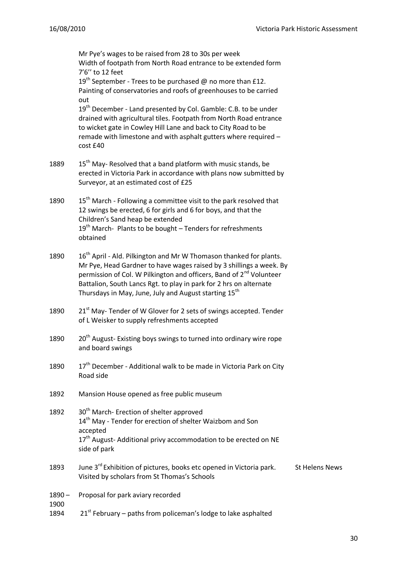Mr Pye's wages to be raised from 28 to 30s per week Width of footpath from North Road entrance to be extended form 7'6'' to 12 feet 19<sup>th</sup> September - Trees to be purchased @ no more than £12. Painting of conservatories and roofs of greenhouses to be carried out  $19<sup>th</sup>$  December - Land presented by Col. Gamble: C.B. to be under drained with agricultural tiles. Footpath from North Road entrance to wicket gate in Cowley Hill Lane and back to City Road to be remade with limestone and with asphalt gutters where required – cost £40 1889  $15<sup>th</sup>$  May-Resolved that a band platform with music stands, be erected in Victoria Park in accordance with plans now submitted by Surveyor, at an estimated cost of £25 1890  $15<sup>th</sup>$  March - Following a committee visit to the park resolved that 12 swings be erected, 6 for girls and 6 for boys, and that the Children's Sand heap be extended  $19<sup>th</sup>$  March-Plants to be bought – Tenders for refreshments obtained 1890  $16<sup>th</sup>$  April - Ald. Pilkington and Mr W Thomason thanked for plants. Mr Pye, Head Gardner to have wages raised by 3 shillings a week. By permission of Col. W Pilkington and officers, Band of  $2<sup>nd</sup>$  Volunteer Battalion, South Lancs Rgt. to play in park for 2 hrs on alternate Thursdays in May, June, July and August starting 15<sup>th</sup> 1890 21<sup>st</sup> May-Tender of W Glover for 2 sets of swings accepted. Tender of L Weisker to supply refreshments accepted 1890 20<sup>th</sup> August- Existing boys swings to turned into ordinary wire rope and board swings 1890  $17<sup>th</sup>$  December - Additional walk to be made in Victoria Park on City Road side 1892 Mansion House opened as free public museum 1892 30<sup>th</sup> March- Erection of shelter approved 14<sup>th</sup> May - Tender for erection of shelter Waizbom and Son accepted  $17<sup>th</sup>$  August-Additional privy accommodation to be erected on NE side of park 1893 June 3<sup>rd</sup> Exhibition of pictures, books etc opened in Victoria park. Visited by scholars from St Thomas's Schools St Helens News 1890 – 1900 Proposal for park aviary recorded 1894 21st February – paths from policeman's lodge to lake asphalted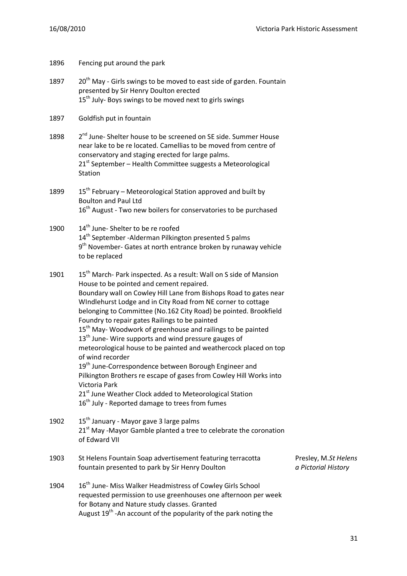| 1896 | Fencing put around the park                                                                                                                                                                                                                                                                                                                                                                                                                                                                                                                                                                                                                                                                                                                                                                                                                                                                                                   |                                             |
|------|-------------------------------------------------------------------------------------------------------------------------------------------------------------------------------------------------------------------------------------------------------------------------------------------------------------------------------------------------------------------------------------------------------------------------------------------------------------------------------------------------------------------------------------------------------------------------------------------------------------------------------------------------------------------------------------------------------------------------------------------------------------------------------------------------------------------------------------------------------------------------------------------------------------------------------|---------------------------------------------|
| 1897 | 20 <sup>th</sup> May - Girls swings to be moved to east side of garden. Fountain<br>presented by Sir Henry Doulton erected<br>15 <sup>th</sup> July- Boys swings to be moved next to girls swings                                                                                                                                                                                                                                                                                                                                                                                                                                                                                                                                                                                                                                                                                                                             |                                             |
| 1897 | Goldfish put in fountain                                                                                                                                                                                                                                                                                                                                                                                                                                                                                                                                                                                                                                                                                                                                                                                                                                                                                                      |                                             |
| 1898 | 2 <sup>nd</sup> June- Shelter house to be screened on SE side. Summer House<br>near lake to be re located. Camellias to be moved from centre of<br>conservatory and staging erected for large palms.<br>21 <sup>st</sup> September – Health Committee suggests a Meteorological<br>Station                                                                                                                                                                                                                                                                                                                                                                                                                                                                                                                                                                                                                                    |                                             |
| 1899 | 15 <sup>th</sup> February – Meteorological Station approved and built by<br><b>Boulton and Paul Ltd</b><br>16 <sup>th</sup> August - Two new boilers for conservatories to be purchased                                                                                                                                                                                                                                                                                                                                                                                                                                                                                                                                                                                                                                                                                                                                       |                                             |
| 1900 | 14 <sup>th</sup> June- Shelter to be re roofed<br>14 <sup>th</sup> September - Alderman Pilkington presented 5 palms<br>$9th$ November-Gates at north entrance broken by runaway vehicle<br>to be replaced                                                                                                                                                                                                                                                                                                                                                                                                                                                                                                                                                                                                                                                                                                                    |                                             |
| 1901 | 15 <sup>th</sup> March- Park inspected. As a result: Wall on S side of Mansion<br>House to be pointed and cement repaired.<br>Boundary wall on Cowley Hill Lane from Bishops Road to gates near<br>WIndlehurst Lodge and in City Road from NE corner to cottage<br>belonging to Committee (No.162 City Road) be pointed. Brookfield<br>Foundry to repair gates Railings to be painted<br>15 <sup>th</sup> May- Woodwork of greenhouse and railings to be painted<br>13 <sup>th</sup> June-Wire supports and wind pressure gauges of<br>meteorological house to be painted and weathercock placed on top<br>of wind recorder<br>19 <sup>th</sup> June-Correspondence between Borough Engineer and<br>Pilkington Brothers re escape of gases from Cowley Hill Works into<br>Victoria Park<br>21 <sup>st</sup> June Weather Clock added to Meteorological Station<br>16 <sup>th</sup> July - Reported damage to trees from fumes |                                             |
| 1902 | 15 <sup>th</sup> January - Mayor gave 3 large palms<br>21 <sup>st</sup> May -Mayor Gamble planted a tree to celebrate the coronation<br>of Edward VII                                                                                                                                                                                                                                                                                                                                                                                                                                                                                                                                                                                                                                                                                                                                                                         |                                             |
| 1903 | St Helens Fountain Soap advertisement featuring terracotta<br>fountain presented to park by Sir Henry Doulton                                                                                                                                                                                                                                                                                                                                                                                                                                                                                                                                                                                                                                                                                                                                                                                                                 | Presley, M.St Helens<br>a Pictorial History |
| 1904 | 16 <sup>th</sup> June- Miss Walker Headmistress of Cowley Girls School<br>requested permission to use greenhouses one afternoon per week<br>for Botany and Nature study classes. Granted<br>August 19 <sup>th</sup> - An account of the popularity of the park noting the                                                                                                                                                                                                                                                                                                                                                                                                                                                                                                                                                                                                                                                     |                                             |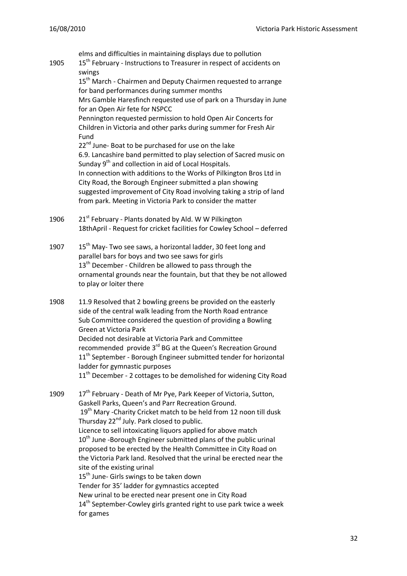elms and difficulties in maintaining displays due to pollution 1905  $15^{th}$  February - Instructions to Treasurer in respect of accidents on swings 15<sup>th</sup> March - Chairmen and Deputy Chairmen requested to arrange for band performances during summer months Mrs Gamble Haresfinch requested use of park on a Thursday in June for an Open Air fete for NSPCC Pennington requested permission to hold Open Air Concerts for Children in Victoria and other parks during summer for Fresh Air Fund 22<sup>nd</sup> June- Boat to be purchased for use on the lake 6.9. Lancashire band permitted to play selection of Sacred music on Sunday 9<sup>th</sup> and collection in aid of Local Hospitals. In connection with additions to the Works of Pilkington Bros Ltd in City Road, the Borough Engineer submitted a plan showing suggested improvement of City Road involving taking a strip of land from park. Meeting in Victoria Park to consider the matter 1906 21<sup>st</sup> February - Plants donated by Ald. W W Pilkington 18thApril - Request for cricket facilities for Cowley School – deferred 1907  $15<sup>th</sup>$  May- Two see saws, a horizontal ladder, 30 feet long and parallel bars for boys and two see saws for girls 13<sup>th</sup> December - Children be allowed to pass through the ornamental grounds near the fountain, but that they be not allowed to play or loiter there 1908 11.9 Resolved that 2 bowling greens be provided on the easterly side of the central walk leading from the North Road entrance Sub Committee considered the question of providing a Bowling Green at Victoria Park Decided not desirable at Victoria Park and Committee recommended provide 3<sup>rd</sup> BG at the Queen's Recreation Ground  $11<sup>th</sup>$  September - Borough Engineer submitted tender for horizontal ladder for gymnastic purposes 11<sup>th</sup> December - 2 cottages to be demolished for widening City Road 1909 17<sup>th</sup> February - Death of Mr Pye, Park Keeper of Victoria, Sutton, Gaskell Parks, Queen's and Parr Recreation Ground. 19<sup>th</sup> Mary -Charity Cricket match to be held from 12 noon till dusk Thursday  $22^{nd}$  July. Park closed to public. Licence to sell intoxicating liquors applied for above match  $10<sup>th</sup>$  June -Borough Engineer submitted plans of the public urinal proposed to be erected by the Health Committee in City Road on the Victoria Park land. Resolved that the urinal be erected near the site of the existing urinal 15<sup>th</sup> June- Girls swings to be taken down Tender for 35' ladder for gymnastics accepted New urinal to be erected near present one in City Road 14<sup>th</sup> September-Cowley girls granted right to use park twice a week for games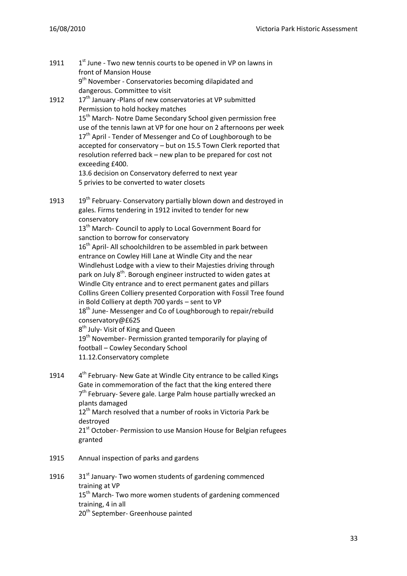- 1911  $1<sup>st</sup>$  June - Two new tennis courts to be opened in VP on lawns in front of Mansion House 9<sup>th</sup> November - Conservatories becoming dilapidated and dangerous. Committee to visit
- 1912 17<sup>th</sup> January -Plans of new conservatories at VP submitted Permission to hold hockey matches 15<sup>th</sup> March- Notre Dame Secondary School given permission free use of the tennis lawn at VP for one hour on 2 afternoons per week 17<sup>th</sup> April - Tender of Messenger and Co of Loughborough to be accepted for conservatory – but on 15.5 Town Clerk reported that resolution referred back – new plan to be prepared for cost not exceeding £400. 13.6 decision on Conservatory deferred to next year

5 privies to be converted to water closets

1913  $19^{th}$  February- Conservatory partially blown down and destroyed in gales. Firms tendering in 1912 invited to tender for new conservatory

13<sup>th</sup> March- Council to apply to Local Government Board for sanction to borrow for conservatory

16<sup>th</sup> April- All schoolchildren to be assembled in park between entrance on Cowley Hill Lane at Windle City and the near Windlehust Lodge with a view to their Majesties driving through park on July 8<sup>th</sup>. Borough engineer instructed to widen gates at Windle City entrance and to erect permanent gates and pillars Collins Green Colliery presented Corporation with Fossil Tree found in Bold Colliery at depth 700 yards – sent to VP 18<sup>th</sup> June- Messenger and Co of Loughborough to repair/rebuild conservatory@£625 8<sup>th</sup> July- Visit of King and Queen 19<sup>th</sup> November- Permission granted temporarily for playing of football – Cowley Secondary School

11.12.Conservatory complete

1914  $4<sup>th</sup>$  February- New Gate at Windle City entrance to be called Kings Gate in commemoration of the fact that the king entered there 7<sup>th</sup> February- Severe gale. Large Palm house partially wrecked an plants damaged 12<sup>th</sup> March resolved that a number of rooks in Victoria Park be destroyed 21<sup>st</sup> October- Permission to use Mansion House for Belgian refugees granted

- 1915 Annual inspection of parks and gardens
- 1916  $31<sup>st</sup>$  January- Two women students of gardening commenced training at VP 15<sup>th</sup> March- Two more women students of gardening commenced training, 4 in all 20<sup>th</sup> September- Greenhouse painted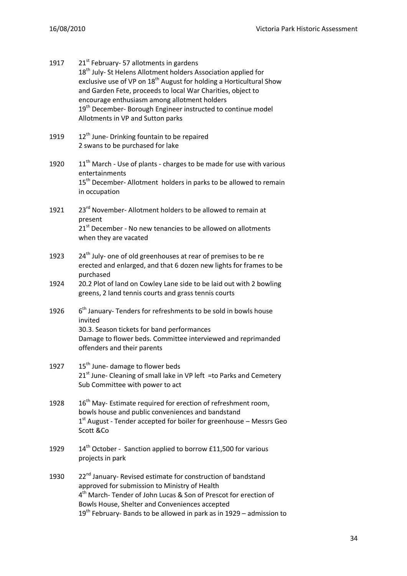| 1917 | 21 <sup>st</sup> February- 57 allotments in gardens<br>18 <sup>th</sup> July- St Helens Allotment holders Association applied for<br>exclusive use of VP on 18 <sup>th</sup> August for holding a Horticultural Show<br>and Garden Fete, proceeds to local War Charities, object to<br>encourage enthusiasm among allotment holders<br>19 <sup>th</sup> December- Borough Engineer instructed to continue model<br>Allotments in VP and Sutton parks |
|------|------------------------------------------------------------------------------------------------------------------------------------------------------------------------------------------------------------------------------------------------------------------------------------------------------------------------------------------------------------------------------------------------------------------------------------------------------|
| 1919 | 12 <sup>th</sup> June- Drinking fountain to be repaired<br>2 swans to be purchased for lake                                                                                                                                                                                                                                                                                                                                                          |
| 1920 | 11 <sup>th</sup> March - Use of plants - charges to be made for use with various<br>entertainments<br>15 <sup>th</sup> December-Allotment holders in parks to be allowed to remain<br>in occupation                                                                                                                                                                                                                                                  |
| 1921 | 23 <sup>rd</sup> November-Allotment holders to be allowed to remain at<br>present<br>21 <sup>st</sup> December - No new tenancies to be allowed on allotments<br>when they are vacated                                                                                                                                                                                                                                                               |
| 1923 | 24 <sup>th</sup> July- one of old greenhouses at rear of premises to be re<br>erected and enlarged, and that 6 dozen new lights for frames to be<br>purchased                                                                                                                                                                                                                                                                                        |
| 1924 | 20.2 Plot of land on Cowley Lane side to be laid out with 2 bowling<br>greens, 2 land tennis courts and grass tennis courts                                                                                                                                                                                                                                                                                                                          |
| 1926 | $6th$ January-Tenders for refreshments to be sold in bowls house<br>invited<br>30.3. Season tickets for band performances<br>Damage to flower beds. Committee interviewed and reprimanded<br>offenders and their parents                                                                                                                                                                                                                             |
| 1927 | 15 <sup>th</sup> June- damage to flower beds<br>21 <sup>st</sup> June- Cleaning of small lake in VP left = to Parks and Cemetery<br>Sub Committee with power to act                                                                                                                                                                                                                                                                                  |
| 1928 | 16 <sup>th</sup> May- Estimate required for erection of refreshment room,<br>bowls house and public conveniences and bandstand<br>$1st$ August - Tender accepted for boiler for greenhouse – Messrs Geo<br>Scott &Co                                                                                                                                                                                                                                 |
| 1929 | 14 <sup>th</sup> October - Sanction applied to borrow £11,500 for various<br>projects in park                                                                                                                                                                                                                                                                                                                                                        |
| 1930 | 22 <sup>nd</sup> January- Revised estimate for construction of bandstand<br>approved for submission to Ministry of Health<br>4 <sup>th</sup> March-Tender of John Lucas & Son of Prescot for erection of<br>Bowls House, Shelter and Conveniences accepted<br>19 <sup>th</sup> February- Bands to be allowed in park as in 1929 – admission to                                                                                                       |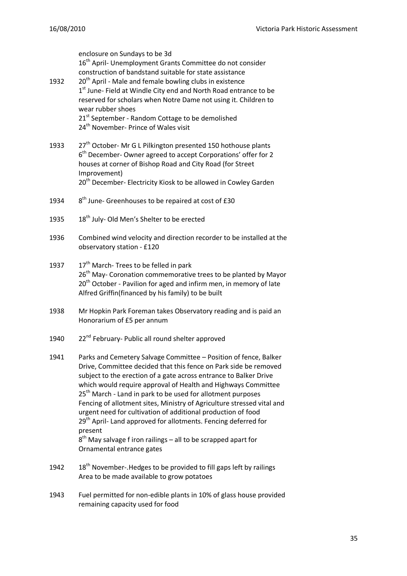enclosure on Sundays to be 3d 16<sup>th</sup> April- Unemployment Grants Committee do not consider construction of bandstand suitable for state assistance 1932 20<sup>th</sup> April - Male and female bowling clubs in existence 1<sup>st</sup> June- Field at Windle City end and North Road entrance to be reserved for scholars when Notre Dame not using it. Children to wear rubber shoes 21<sup>st</sup> September - Random Cottage to be demolished 24<sup>th</sup> November- Prince of Wales visit 1933 27<sup>th</sup> October- Mr G L Pilkington presented 150 hothouse plants 6<sup>th</sup> December-Owner agreed to accept Corporations' offer for 2 houses at corner of Bishop Road and City Road (for Street Improvement) 20<sup>th</sup> December- Electricity Kiosk to be allowed in Cowley Garden 1934 8<sup>th</sup> June- Greenhouses to be repaired at cost of £30 1935 18<sup>th</sup> July- Old Men's Shelter to be erected 1936 Combined wind velocity and direction recorder to be installed at the observatory station - £120 1937  $17<sup>th</sup>$  March- Trees to be felled in park 26<sup>th</sup> May- Coronation commemorative trees to be planted by Mayor 20<sup>th</sup> October - Pavilion for aged and infirm men, in memory of late Alfred Griffin(financed by his family) to be built 1938 Mr Hopkin Park Foreman takes Observatory reading and is paid an Honorarium of £5 per annum 1940 22<sup>nd</sup> February- Public all round shelter approved 1941 Parks and Cemetery Salvage Committee – Position of fence, Balker Drive, Committee decided that this fence on Park side be removed subject to the erection of a gate across entrance to Balker Drive which would require approval of Health and Highways Committee 25<sup>th</sup> March - Land in park to be used for allotment purposes Fencing of allotment sites, Ministry of Agriculture stressed vital and urgent need for cultivation of additional production of food 29<sup>th</sup> April- Land approved for allotments. Fencing deferred for present 8<sup>th</sup> May salvage f iron railings – all to be scrapped apart for Ornamental entrance gates 1942  $18<sup>th</sup>$  November-. Hedges to be provided to fill gaps left by railings Area to be made available to grow potatoes

1943 Fuel permitted for non-edible plants in 10% of glass house provided remaining capacity used for food